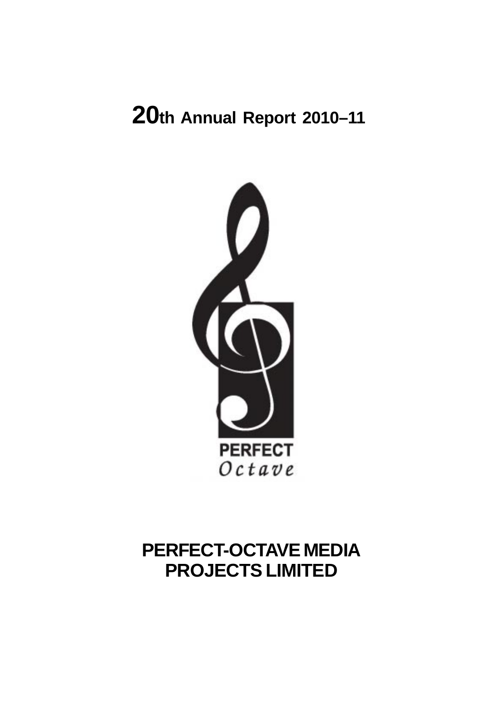# **20th Annual Report 2010–11**



# **PERFECT-OCTAVE MEDIA PROJECTS LIMITED**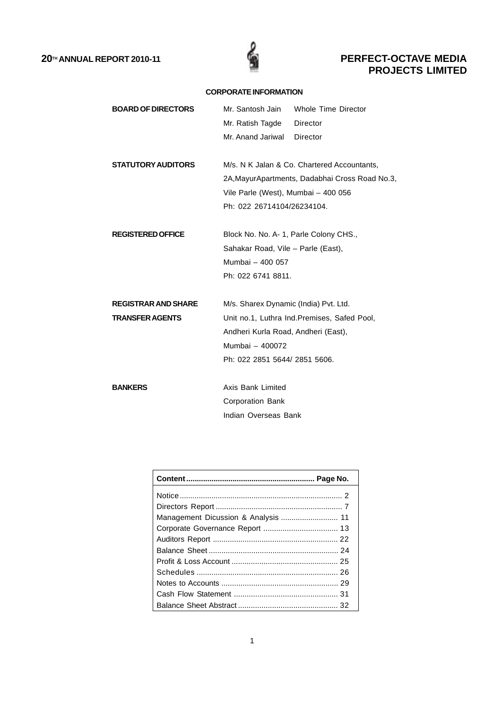

## **CORPORATE INFORMATION**

| <b>BOARD OF DIRECTORS</b>  | Mr. Santosh Jain                       | Whole Time Director                             |
|----------------------------|----------------------------------------|-------------------------------------------------|
|                            | Mr. Ratish Tagde                       | Director                                        |
|                            | Mr. Anand Jariwal                      | Director                                        |
| <b>STATUTORY AUDITORS</b>  |                                        | M/s. N K Jalan & Co. Chartered Accountants,     |
|                            |                                        | 2A, Mayur Apartments, Dadabhai Cross Road No.3, |
|                            |                                        |                                                 |
|                            | Vile Parle (West), Mumbai - 400 056    |                                                 |
|                            | Ph: 022 26714104/26234104.             |                                                 |
| <b>REGISTERED OFFICE</b>   | Block No. No. A- 1, Parle Colony CHS., |                                                 |
|                            | Sahakar Road, Vile - Parle (East),     |                                                 |
|                            | Mumbai - 400 057                       |                                                 |
|                            | Ph: 022 6741 8811.                     |                                                 |
| <b>REGISTRAR AND SHARE</b> | M/s. Sharex Dynamic (India) Pvt. Ltd.  |                                                 |
| <b>TRANSFER AGENTS</b>     |                                        | Unit no.1, Luthra Ind. Premises, Safed Pool,    |
|                            | Andheri Kurla Road, Andheri (East),    |                                                 |
|                            | Mumbai - 400072                        |                                                 |
|                            | Ph: 022 2851 5644/ 2851 5606.          |                                                 |
|                            |                                        |                                                 |
| <b>BANKERS</b>             | Axis Bank Limited                      |                                                 |
|                            | <b>Corporation Bank</b>                |                                                 |
|                            | Indian Overseas Bank                   |                                                 |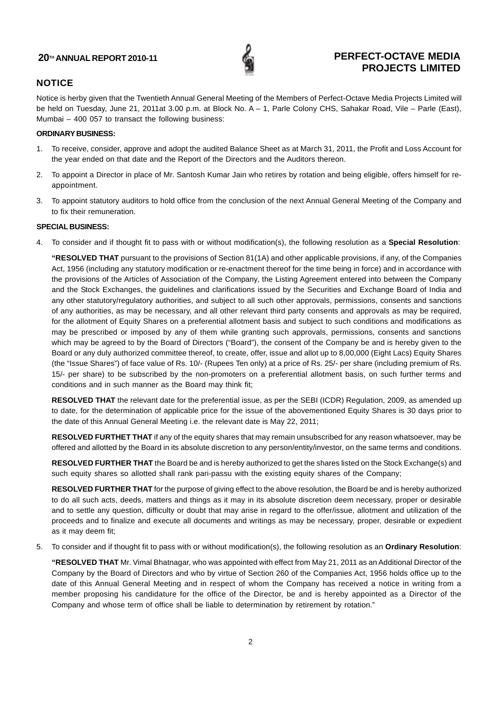

## **NOTICE**

Notice is herby given that the Twentieth Annual General Meeting of the Members of Perfect-Octave Media Projects Limited will be held on Tuesday, June 21, 2011at 3.00 p.m. at Block No. A – 1, Parle Colony CHS, Sahakar Road, Vile – Parle (East), Mumbai – 400 057 to transact the following business:

## **ORDINARY BUSINESS:**

- 1. To receive, consider, approve and adopt the audited Balance Sheet as at March 31, 2011, the Profit and Loss Account for the year ended on that date and the Report of the Directors and the Auditors thereon.
- 2. To appoint a Director in place of Mr. Santosh Kumar Jain who retires by rotation and being eligible, offers himself for reappointment.
- 3. To appoint statutory auditors to hold office from the conclusion of the next Annual General Meeting of the Company and to fix their remuneration.

## **SPECIAL BUSINESS:**

4. To consider and if thought fit to pass with or without modification(s), the following resolution as a **Special Resolution**:

**"RESOLVED THAT** pursuant to the provisions of Section 81(1A) and other applicable provisions, if any, of the Companies Act, 1956 (including any statutory modification or re-enactment thereof for the time being in force) and in accordance with the provisions of the Articles of Association of the Company, the Listing Agreement entered into between the Company and the Stock Exchanges, the guidelines and clarifications issued by the Securities and Exchange Board of India and any other statutory/regulatory authorities, and subject to all such other approvals, permissions, consents and sanctions of any authorities, as may be necessary, and all other relevant third party consents and approvals as may be required, for the allotment of Equity Shares on a preferential allotment basis and subject to such conditions and modifications as may be prescribed or imposed by any of them while granting such approvals, permissions, consents and sanctions which may be agreed to by the Board of Directors ("Board"), the consent of the Company be and is hereby given to the Board or any duly authorized committee thereof, to create, offer, issue and allot up to 8,00,000 (Eight Lacs) Equity Shares (the "Issue Shares") of face value of Rs. 10/- (Rupees Ten only) at a price of Rs. 25/- per share (including premium of Rs. 15/- per share) to be subscribed by the non-promoters on a preferential allotment basis, on such further terms and conditions and in such manner as the Board may think fit;

**RESOLVED THAT** the relevant date for the preferential issue, as per the SEBI (ICDR) Regulation, 2009, as amended up to date, for the determination of applicable price for the issue of the abovementioned Equity Shares is 30 days prior to the date of this Annual General Meeting i.e. the relevant date is May 22, 2011;

**RESOLVED FURTHET THAT** if any of the equity shares that may remain unsubscribed for any reason whatsoever, may be offered and allotted by the Board in its absolute discretion to any person/entity/investor, on the same terms and conditions.

**RESOLVED FURTHER THAT** the Board be and is hereby authorized to get the shares listed on the Stock Exchange(s) and such equity shares so allotted shall rank pari-passu with the existing equity shares of the Company;

**RESOLVED FURTHER THAT** for the purpose of giving effect to the above resolution, the Board be and is hereby authorized to do all such acts, deeds, matters and things as it may in its absolute discretion deem necessary, proper or desirable and to settle any question, difficulty or doubt that may arise in regard to the offer/issue, allotment and utilization of the proceeds and to finalize and execute all documents and writings as may be necessary, proper, desirable or expedient as it may deem fit;

5. To consider and if thought fit to pass with or without modification(s), the following resolution as an **Ordinary Resolution**:

**"RESOLVED THAT** Mr. Vimal Bhatnagar, who was appointed with effect from May 21, 2011 as an Additional Director of the Company by the Board of Directors and who by virtue of Section 260 of the Companies Act, 1956 holds office up to the date of this Annual General Meeting and in respect of whom the Company has received a notice in writing from a member proposing his candidature for the office of the Director, be and is hereby appointed as a Director of the Company and whose term of office shall be liable to determination by retirement by rotation."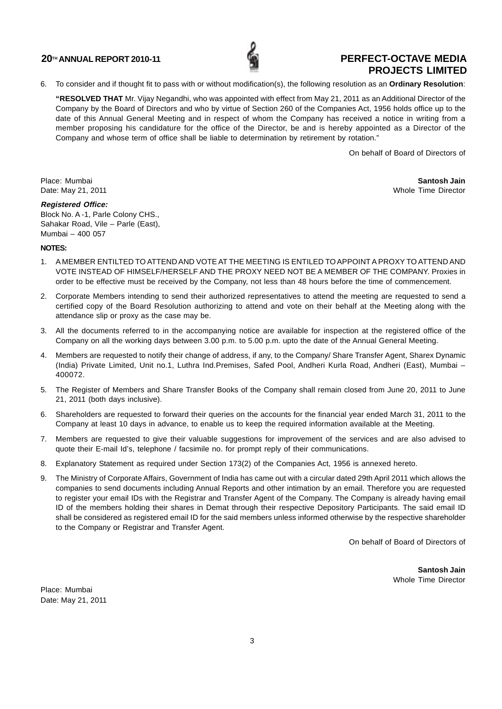

6. To consider and if thought fit to pass with or without modification(s), the following resolution as an **Ordinary Resolution**:

**"RESOLVED THAT** Mr. Vijay Negandhi, who was appointed with effect from May 21, 2011 as an Additional Director of the Company by the Board of Directors and who by virtue of Section 260 of the Companies Act, 1956 holds office up to the date of this Annual General Meeting and in respect of whom the Company has received a notice in writing from a member proposing his candidature for the office of the Director, be and is hereby appointed as a Director of the Company and whose term of office shall be liable to determination by retirement by rotation."

On behalf of Board of Directors of

Place: Mumbai **Santosh Jain** Date: May 21, 2011 **Date:** May 21, 2011

## **Registered Office:**

Block No. A -1, Parle Colony CHS., Sahakar Road, Vile – Parle (East), Mumbai – 400 057

### **NOTES:**

- 1. A MEMBER ENTILTED TO ATTEND AND VOTE AT THE MEETING IS ENTILED TO APPOINT A PROXY TO ATTEND AND VOTE INSTEAD OF HIMSELF/HERSELF AND THE PROXY NEED NOT BE A MEMBER OF THE COMPANY. Proxies in order to be effective must be received by the Company, not less than 48 hours before the time of commencement.
- 2. Corporate Members intending to send their authorized representatives to attend the meeting are requested to send a certified copy of the Board Resolution authorizing to attend and vote on their behalf at the Meeting along with the attendance slip or proxy as the case may be.
- 3. All the documents referred to in the accompanying notice are available for inspection at the registered office of the Company on all the working days between 3.00 p.m. to 5.00 p.m. upto the date of the Annual General Meeting.
- 4. Members are requested to notify their change of address, if any, to the Company/ Share Transfer Agent, Sharex Dynamic (India) Private Limited, Unit no.1, Luthra Ind.Premises, Safed Pool, Andheri Kurla Road, Andheri (East), Mumbai – 400072.
- 5. The Register of Members and Share Transfer Books of the Company shall remain closed from June 20, 2011 to June 21, 2011 (both days inclusive).
- 6. Shareholders are requested to forward their queries on the accounts for the financial year ended March 31, 2011 to the Company at least 10 days in advance, to enable us to keep the required information available at the Meeting.
- 7. Members are requested to give their valuable suggestions for improvement of the services and are also advised to quote their E-mail Id's, telephone / facsimile no. for prompt reply of their communications.
- 8. Explanatory Statement as required under Section 173(2) of the Companies Act, 1956 is annexed hereto.
- 9. The Ministry of Corporate Affairs, Government of India has came out with a circular dated 29th April 2011 which allows the companies to send documents including Annual Reports and other intimation by an email. Therefore you are requested to register your email IDs with the Registrar and Transfer Agent of the Company. The Company is already having email ID of the members holding their shares in Demat through their respective Depository Participants. The said email ID shall be considered as registered email ID for the said members unless informed otherwise by the respective shareholder to the Company or Registrar and Transfer Agent.

On behalf of Board of Directors of

**Santosh Jain** Whole Time Director

Place: Mumbai Date: May 21, 2011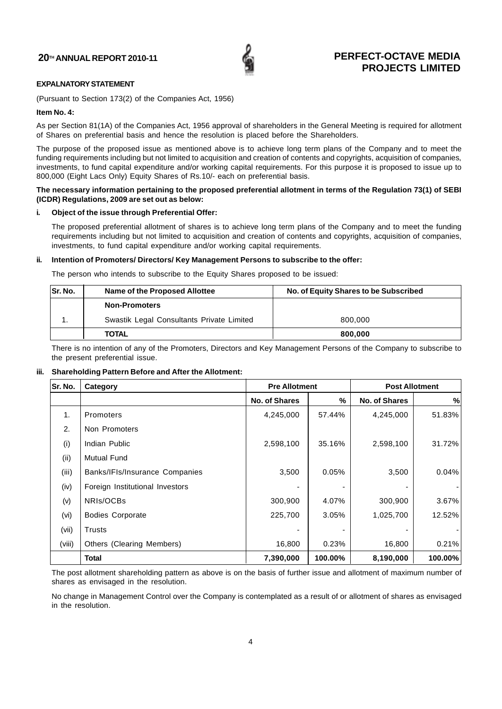

## **EXPALNATORY STATEMENT**

(Pursuant to Section 173(2) of the Companies Act, 1956)

## **Item No. 4:**

As per Section 81(1A) of the Companies Act, 1956 approval of shareholders in the General Meeting is required for allotment of Shares on preferential basis and hence the resolution is placed before the Shareholders.

The purpose of the proposed issue as mentioned above is to achieve long term plans of the Company and to meet the funding requirements including but not limited to acquisition and creation of contents and copyrights, acquisition of companies, investments, to fund capital expenditure and/or working capital requirements. For this purpose it is proposed to issue up to 800,000 (Eight Lacs Only) Equity Shares of Rs.10/- each on preferential basis.

## **The necessary information pertaining to the proposed preferential allotment in terms of the Regulation 73(1) of SEBI (ICDR) Regulations, 2009 are set out as below:**

## **i. Object of the issue through Preferential Offer:**

The proposed preferential allotment of shares is to achieve long term plans of the Company and to meet the funding requirements including but not limited to acquisition and creation of contents and copyrights, acquisition of companies, investments, to fund capital expenditure and/or working capital requirements.

## **ii. Intention of Promoters/ Directors/ Key Management Persons to subscribe to the offer:**

The person who intends to subscribe to the Equity Shares proposed to be issued:

| <b>Sr. No.</b> | Name of the Proposed Allottee             | No. of Equity Shares to be Subscribed |
|----------------|-------------------------------------------|---------------------------------------|
|                | <b>Non-Promoters</b>                      |                                       |
|                | Swastik Legal Consultants Private Limited | 800,000                               |
|                | <b>TOTAL</b>                              | 800,000                               |

There is no intention of any of the Promoters, Directors and Key Management Persons of the Company to subscribe to the present preferential issue.

## **iii. Shareholding Pattern Before and After the Allotment:**

| Sr. No. | Category                        | <b>Pre Allotment</b> |         | <b>Post Allotment</b> |         |
|---------|---------------------------------|----------------------|---------|-----------------------|---------|
|         |                                 | <b>No. of Shares</b> | %       | <b>No. of Shares</b>  | %       |
| 1.      | Promoters                       | 4,245,000            | 57.44%  | 4,245,000             | 51.83%  |
| 2.      | Non Promoters                   |                      |         |                       |         |
| (i)     | Indian Public                   | 2,598,100            | 35.16%  | 2,598,100             | 31.72%  |
| (ii)    | <b>Mutual Fund</b>              |                      |         |                       |         |
| (iii)   | Banks/IFIs/Insurance Companies  | 3,500                | 0.05%   | 3,500                 | 0.04%   |
| (iv)    | Foreign Institutional Investors |                      |         |                       |         |
| (v)     | NRIs/OCBs                       | 300,900              | 4.07%   | 300,900               | 3.67%   |
| (vi)    | <b>Bodies Corporate</b>         | 225,700              | 3.05%   | 1,025,700             | 12.52%  |
| (vii)   | <b>Trusts</b>                   |                      |         |                       |         |
| (viii)  | Others (Clearing Members)       | 16,800               | 0.23%   | 16,800                | 0.21%   |
|         | Total                           | 7,390,000            | 100.00% | 8,190,000             | 100.00% |

The post allotment shareholding pattern as above is on the basis of further issue and allotment of maximum number of shares as envisaged in the resolution.

No change in Management Control over the Company is contemplated as a result of or allotment of shares as envisaged in the resolution.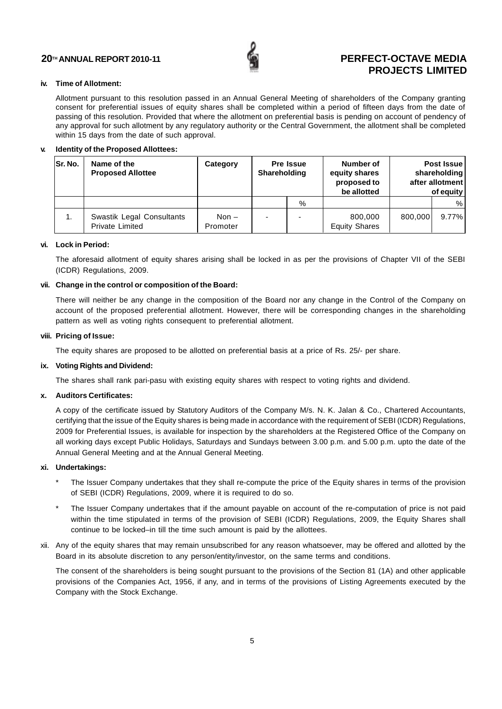![](_page_5_Picture_1.jpeg)

## **iv. Time of Allotment:**

Allotment pursuant to this resolution passed in an Annual General Meeting of shareholders of the Company granting consent for preferential issues of equity shares shall be completed within a period of fifteen days from the date of passing of this resolution. Provided that where the allotment on preferential basis is pending on account of pendency of any approval for such allotment by any regulatory authority or the Central Government, the allotment shall be completed within 15 days from the date of such approval.

## **v. Identity of the Proposed Allottees:**

| <b>Sr. No.</b> | Name of the<br><b>Proposed Allottee</b>             | Category            | Pre Issue<br><b>Shareholding</b> |   | Number of<br>equity shares<br>proposed to<br>be allotted |         | Post Issue<br>shareholding<br>after allotment<br>of equity |
|----------------|-----------------------------------------------------|---------------------|----------------------------------|---|----------------------------------------------------------|---------|------------------------------------------------------------|
|                |                                                     |                     |                                  | % |                                                          |         | %                                                          |
| 1.             | Swastik Legal Consultants<br><b>Private Limited</b> | Non $-$<br>Promoter |                                  |   | 800,000<br><b>Equity Shares</b>                          | 800.000 | 9.77%                                                      |

### **vi. Lock in Period:**

The aforesaid allotment of equity shares arising shall be locked in as per the provisions of Chapter VII of the SEBI (ICDR) Regulations, 2009.

### **vii. Change in the control or composition of the Board:**

There will neither be any change in the composition of the Board nor any change in the Control of the Company on account of the proposed preferential allotment. However, there will be corresponding changes in the shareholding pattern as well as voting rights consequent to preferential allotment.

### **viii. Pricing of Issue:**

The equity shares are proposed to be allotted on preferential basis at a price of Rs. 25/- per share.

## **ix. Voting Rights and Dividend:**

The shares shall rank pari-pasu with existing equity shares with respect to voting rights and dividend.

## **x. Auditors Certificates:**

A copy of the certificate issued by Statutory Auditors of the Company M/s. N. K. Jalan & Co., Chartered Accountants, certifying that the issue of the Equity shares is being made in accordance with the requirement of SEBI (ICDR) Regulations, 2009 for Preferential Issues, is available for inspection by the shareholders at the Registered Office of the Company on all working days except Public Holidays, Saturdays and Sundays between 3.00 p.m. and 5.00 p.m. upto the date of the Annual General Meeting and at the Annual General Meeting.

### **xi. Undertakings:**

- The Issuer Company undertakes that they shall re-compute the price of the Equity shares in terms of the provision of SEBI (ICDR) Regulations, 2009, where it is required to do so.
- The Issuer Company undertakes that if the amount payable on account of the re-computation of price is not paid within the time stipulated in terms of the provision of SEBI (ICDR) Regulations, 2009, the Equity Shares shall continue to be locked–in till the time such amount is paid by the allottees.
- xii. Any of the equity shares that may remain unsubscribed for any reason whatsoever, may be offered and allotted by the Board in its absolute discretion to any person/entity/investor, on the same terms and conditions.

The consent of the shareholders is being sought pursuant to the provisions of the Section 81 (1A) and other applicable provisions of the Companies Act, 1956, if any, and in terms of the provisions of Listing Agreements executed by the Company with the Stock Exchange.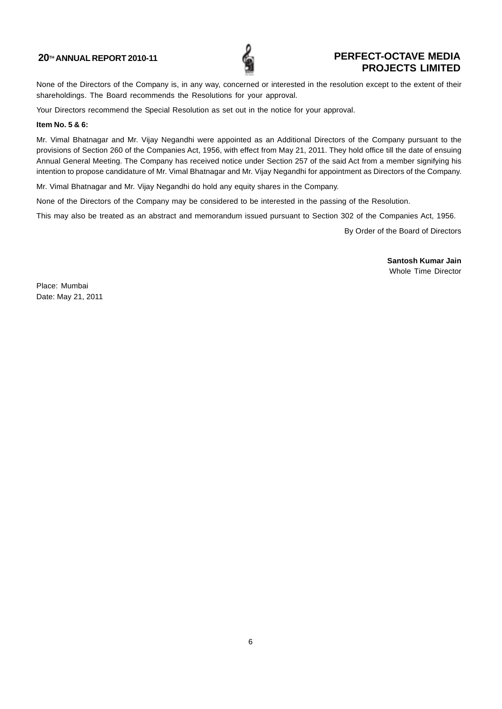![](_page_6_Picture_1.jpeg)

None of the Directors of the Company is, in any way, concerned or interested in the resolution except to the extent of their shareholdings. The Board recommends the Resolutions for your approval.

Your Directors recommend the Special Resolution as set out in the notice for your approval.

### **Item No. 5 & 6:**

Mr. Vimal Bhatnagar and Mr. Vijay Negandhi were appointed as an Additional Directors of the Company pursuant to the provisions of Section 260 of the Companies Act, 1956, with effect from May 21, 2011. They hold office till the date of ensuing Annual General Meeting. The Company has received notice under Section 257 of the said Act from a member signifying his intention to propose candidature of Mr. Vimal Bhatnagar and Mr. Vijay Negandhi for appointment as Directors of the Company.

Mr. Vimal Bhatnagar and Mr. Vijay Negandhi do hold any equity shares in the Company.

None of the Directors of the Company may be considered to be interested in the passing of the Resolution.

This may also be treated as an abstract and memorandum issued pursuant to Section 302 of the Companies Act, 1956.

By Order of the Board of Directors

**Santosh Kumar Jain** Whole Time Director

Place: Mumbai Date: May 21, 2011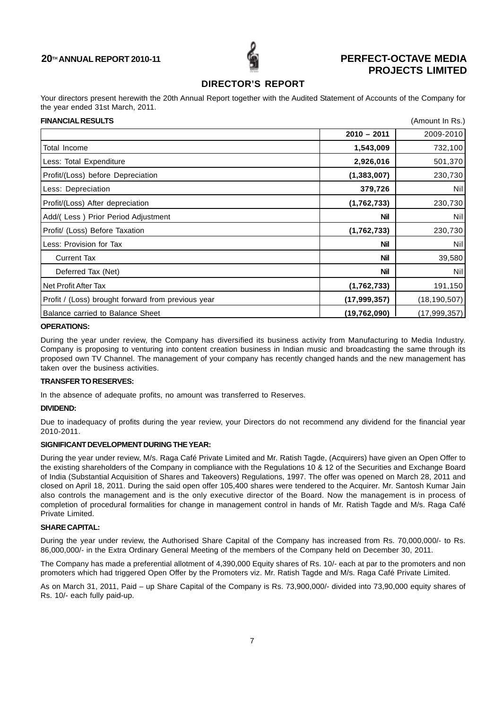![](_page_7_Picture_1.jpeg)

## **DIRECTOR'S REPORT**

Your directors present herewith the 20th Annual Report together with the Audited Statement of Accounts of the Company for the year ended 31st March, 2011.

| <b>FINANCIAL RESULTS</b>                           |                | (Amount In Rs.) |
|----------------------------------------------------|----------------|-----------------|
|                                                    | $2010 - 2011$  | 2009-2010       |
| Total Income                                       | 1,543,009      | 732,100         |
| Less: Total Expenditure                            | 2,926,016      | 501,370         |
| Profit/(Loss) before Depreciation                  | (1, 383, 007)  | 230,730         |
| Less: Depreciation                                 | 379,726        | Nil             |
| Profit/(Loss) After depreciation                   | (1,762,733)    | 230,730         |
| Add/(Less) Prior Period Adjustment                 | <b>Nil</b>     | Nil             |
| Profit/ (Loss) Before Taxation                     | (1,762,733)    | 230,730         |
| Less: Provision for Tax                            | <b>Nil</b>     | Nil             |
| <b>Current Tax</b>                                 | <b>Nil</b>     | 39,580          |
| Deferred Tax (Net)                                 | <b>Nil</b>     | Nil             |
| Net Profit After Tax                               | (1,762,733)    | 191,150         |
| Profit / (Loss) brought forward from previous year | (17, 999, 357) | (18, 190, 507)  |
| Balance carried to Balance Sheet                   | (19,762,090)   | (17,999,357)    |

## **OPERATIONS:**

During the year under review, the Company has diversified its business activity from Manufacturing to Media Industry. Company is proposing to venturing into content creation business in Indian music and broadcasting the same through its proposed own TV Channel. The management of your company has recently changed hands and the new management has taken over the business activities.

## **TRANSFER TO RESERVES:**

In the absence of adequate profits, no amount was transferred to Reserves.

## **DIVIDEND:**

Due to inadequacy of profits during the year review, your Directors do not recommend any dividend for the financial year 2010-2011.

## **SIGNIFICANT DEVELOPMENT DURING THE YEAR:**

During the year under review, M/s. Raga Café Private Limited and Mr. Ratish Tagde, (Acquirers) have given an Open Offer to the existing shareholders of the Company in compliance with the Regulations 10 & 12 of the Securities and Exchange Board of India (Substantial Acquisition of Shares and Takeovers) Regulations, 1997. The offer was opened on March 28, 2011 and closed on April 18, 2011. During the said open offer 105,400 shares were tendered to the Acquirer. Mr. Santosh Kumar Jain also controls the management and is the only executive director of the Board. Now the management is in process of completion of procedural formalities for change in management control in hands of Mr. Ratish Tagde and M/s. Raga Café Private Limited.

## **SHARE CAPITAL:**

During the year under review, the Authorised Share Capital of the Company has increased from Rs. 70,000,000/- to Rs. 86,000,000/- in the Extra Ordinary General Meeting of the members of the Company held on December 30, 2011.

The Company has made a preferential allotment of 4,390,000 Equity shares of Rs. 10/- each at par to the promoters and non promoters which had triggered Open Offer by the Promoters viz. Mr. Ratish Tagde and M/s. Raga Café Private Limited.

As on March 31, 2011, Paid – up Share Capital of the Company is Rs. 73,900,000/- divided into 73,90,000 equity shares of Rs. 10/- each fully paid-up.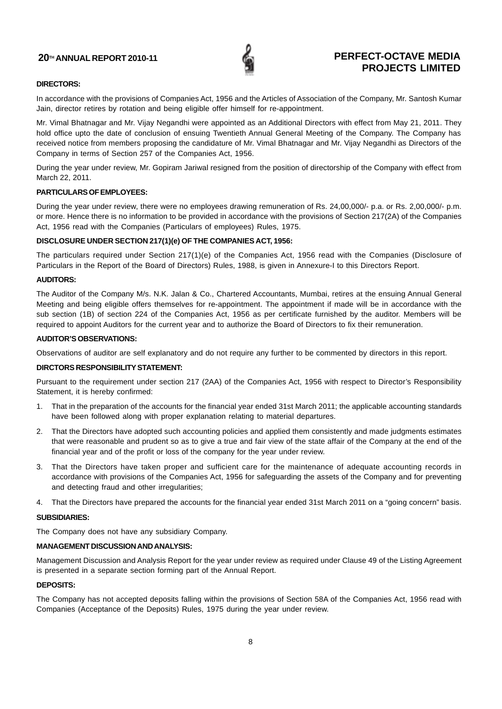![](_page_8_Picture_1.jpeg)

## **DIRECTORS:**

In accordance with the provisions of Companies Act, 1956 and the Articles of Association of the Company, Mr. Santosh Kumar Jain, director retires by rotation and being eligible offer himself for re-appointment.

Mr. Vimal Bhatnagar and Mr. Vijay Negandhi were appointed as an Additional Directors with effect from May 21, 2011. They hold office upto the date of conclusion of ensuing Twentieth Annual General Meeting of the Company. The Company has received notice from members proposing the candidature of Mr. Vimal Bhatnagar and Mr. Vijay Negandhi as Directors of the Company in terms of Section 257 of the Companies Act, 1956.

During the year under review, Mr. Gopiram Jariwal resigned from the position of directorship of the Company with effect from March 22, 2011.

## **PARTICULARS OF EMPLOYEES:**

During the year under review, there were no employees drawing remuneration of Rs. 24,00,000/- p.a. or Rs. 2,00,000/- p.m. or more. Hence there is no information to be provided in accordance with the provisions of Section 217(2A) of the Companies Act, 1956 read with the Companies (Particulars of employees) Rules, 1975.

## **DISCLOSURE UNDER SECTION 217(1)(e) OF THE COMPANIES ACT, 1956:**

The particulars required under Section 217(1)(e) of the Companies Act, 1956 read with the Companies (Disclosure of Particulars in the Report of the Board of Directors) Rules, 1988, is given in Annexure-I to this Directors Report.

## **AUDITORS:**

The Auditor of the Company M/s. N.K. Jalan & Co., Chartered Accountants, Mumbai, retires at the ensuing Annual General Meeting and being eligible offers themselves for re-appointment. The appointment if made will be in accordance with the sub section (1B) of section 224 of the Companies Act, 1956 as per certificate furnished by the auditor. Members will be required to appoint Auditors for the current year and to authorize the Board of Directors to fix their remuneration.

## **AUDITOR'S OBSERVATIONS:**

Observations of auditor are self explanatory and do not require any further to be commented by directors in this report.

## **DIRCTORS RESPONSIBILITY STATEMENT:**

Pursuant to the requirement under section 217 (2AA) of the Companies Act, 1956 with respect to Director's Responsibility Statement, it is hereby confirmed:

- 1. That in the preparation of the accounts for the financial year ended 31st March 2011; the applicable accounting standards have been followed along with proper explanation relating to material departures.
- 2. That the Directors have adopted such accounting policies and applied them consistently and made judgments estimates that were reasonable and prudent so as to give a true and fair view of the state affair of the Company at the end of the financial year and of the profit or loss of the company for the year under review.
- 3. That the Directors have taken proper and sufficient care for the maintenance of adequate accounting records in accordance with provisions of the Companies Act, 1956 for safeguarding the assets of the Company and for preventing and detecting fraud and other irregularities;
- 4. That the Directors have prepared the accounts for the financial year ended 31st March 2011 on a "going concern" basis.

## **SUBSIDIARIES:**

The Company does not have any subsidiary Company.

## **MANAGEMENT DISCUSSION AND ANALYSIS:**

Management Discussion and Analysis Report for the year under review as required under Clause 49 of the Listing Agreement is presented in a separate section forming part of the Annual Report.

## **DEPOSITS:**

The Company has not accepted deposits falling within the provisions of Section 58A of the Companies Act, 1956 read with Companies (Acceptance of the Deposits) Rules, 1975 during the year under review.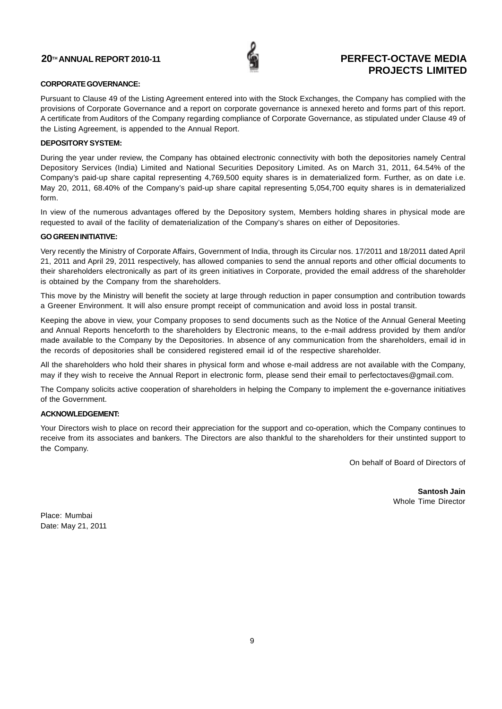![](_page_9_Picture_1.jpeg)

## **CORPORATE GOVERNANCE:**

Pursuant to Clause 49 of the Listing Agreement entered into with the Stock Exchanges, the Company has complied with the provisions of Corporate Governance and a report on corporate governance is annexed hereto and forms part of this report. A certificate from Auditors of the Company regarding compliance of Corporate Governance, as stipulated under Clause 49 of the Listing Agreement, is appended to the Annual Report.

## **DEPOSITORY SYSTEM:**

During the year under review, the Company has obtained electronic connectivity with both the depositories namely Central Depository Services (India) Limited and National Securities Depository Limited. As on March 31, 2011, 64.54% of the Company's paid-up share capital representing 4,769,500 equity shares is in dematerialized form. Further, as on date i.e. May 20, 2011, 68.40% of the Company's paid-up share capital representing 5,054,700 equity shares is in dematerialized form.

In view of the numerous advantages offered by the Depository system, Members holding shares in physical mode are requested to avail of the facility of dematerialization of the Company's shares on either of Depositories.

## **GO GREEN INITIATIVE:**

Very recently the Ministry of Corporate Affairs, Government of India, through its Circular nos. 17/2011 and 18/2011 dated April 21, 2011 and April 29, 2011 respectively, has allowed companies to send the annual reports and other official documents to their shareholders electronically as part of its green initiatives in Corporate, provided the email address of the shareholder is obtained by the Company from the shareholders.

This move by the Ministry will benefit the society at large through reduction in paper consumption and contribution towards a Greener Environment. It will also ensure prompt receipt of communication and avoid loss in postal transit.

Keeping the above in view, your Company proposes to send documents such as the Notice of the Annual General Meeting and Annual Reports henceforth to the shareholders by Electronic means, to the e-mail address provided by them and/or made available to the Company by the Depositories. In absence of any communication from the shareholders, email id in the records of depositories shall be considered registered email id of the respective shareholder.

All the shareholders who hold their shares in physical form and whose e-mail address are not available with the Company, may if they wish to receive the Annual Report in electronic form, please send their email to perfectoctaves@gmail.com.

The Company solicits active cooperation of shareholders in helping the Company to implement the e-governance initiatives of the Government.

## **ACKNOWLEDGEMENT:**

Your Directors wish to place on record their appreciation for the support and co-operation, which the Company continues to receive from its associates and bankers. The Directors are also thankful to the shareholders for their unstinted support to the Company.

On behalf of Board of Directors of

**Santosh Jain** Whole Time Director

Place: Mumbai Date: May 21, 2011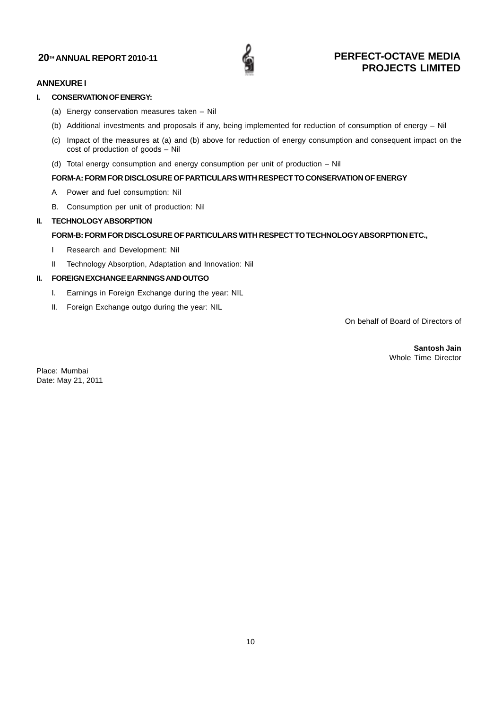![](_page_10_Picture_1.jpeg)

## **ANNEXURE I**

## **I. CONSERVATION OF ENERGY:**

- (a) Energy conservation measures taken Nil
- (b) Additional investments and proposals if any, being implemented for reduction of consumption of energy Nil
- (c) Impact of the measures at (a) and (b) above for reduction of energy consumption and consequent impact on the cost of production of goods – Nil
- (d) Total energy consumption and energy consumption per unit of production Nil

## **FORM-A: FORM FOR DISCLOSURE OF PARTICULARS WITH RESPECT TO CONSERVATION OF ENERGY**

- A. Power and fuel consumption: Nil
- B. Consumption per unit of production: Nil

## **II. TECHNOLOGY ABSORPTION**

## **FORM-B: FORM FOR DISCLOSURE OF PARTICULARS WITH RESPECT TO TECHNOLOGY ABSORPTION ETC.,**

- I Research and Development: Nil
- II Technology Absorption, Adaptation and Innovation: Nil

## **II. FOREIGN EXCHANGE EARNINGS AND OUTGO**

- I. Earnings in Foreign Exchange during the year: NIL
- II. Foreign Exchange outgo during the year: NIL

On behalf of Board of Directors of

**Santosh Jain** Whole Time Director

Place: Mumbai Date: May 21, 2011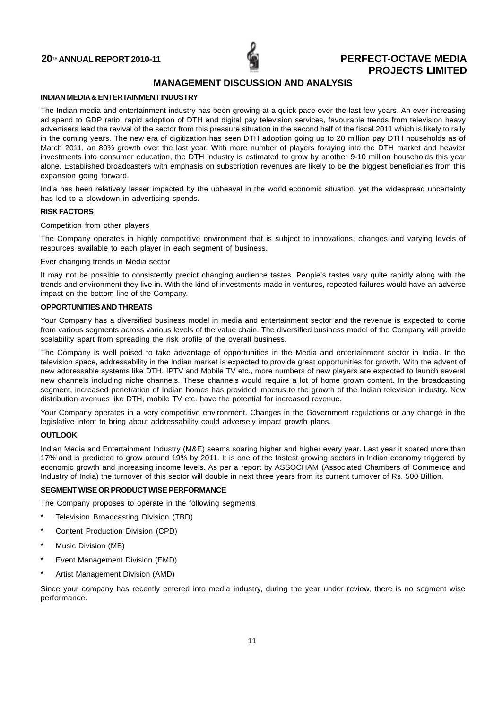![](_page_11_Picture_1.jpeg)

## **MANAGEMENT DISCUSSION AND ANALYSIS**

### **INDIAN MEDIA & ENTERTAINMENT INDUSTRY**

The Indian media and entertainment industry has been growing at a quick pace over the last few years. An ever increasing ad spend to GDP ratio, rapid adoption of DTH and digital pay television services, favourable trends from television heavy advertisers lead the revival of the sector from this pressure situation in the second half of the fiscal 2011 which is likely to rally in the coming years. The new era of digitization has seen DTH adoption going up to 20 million pay DTH households as of March 2011, an 80% growth over the last year. With more number of players foraying into the DTH market and heavier investments into consumer education, the DTH industry is estimated to grow by another 9-10 million households this year alone. Established broadcasters with emphasis on subscription revenues are likely to be the biggest beneficiaries from this expansion going forward.

India has been relatively lesser impacted by the upheaval in the world economic situation, yet the widespread uncertainty has led to a slowdown in advertising spends.

#### **RISK FACTORS**

## Competition from other players

The Company operates in highly competitive environment that is subject to innovations, changes and varying levels of resources available to each player in each segment of business.

### Ever changing trends in Media sector

It may not be possible to consistently predict changing audience tastes. People's tastes vary quite rapidly along with the trends and environment they live in. With the kind of investments made in ventures, repeated failures would have an adverse impact on the bottom line of the Company.

## **OPPORTUNITIES AND THREATS**

Your Company has a diversified business model in media and entertainment sector and the revenue is expected to come from various segments across various levels of the value chain. The diversified business model of the Company will provide scalability apart from spreading the risk profile of the overall business.

The Company is well poised to take advantage of opportunities in the Media and entertainment sector in India. In the television space, addressability in the Indian market is expected to provide great opportunities for growth. With the advent of new addressable systems like DTH, IPTV and Mobile TV etc., more numbers of new players are expected to launch several new channels including niche channels. These channels would require a lot of home grown content. In the broadcasting segment, increased penetration of Indian homes has provided impetus to the growth of the Indian television industry. New distribution avenues like DTH, mobile TV etc. have the potential for increased revenue.

Your Company operates in a very competitive environment. Changes in the Government regulations or any change in the legislative intent to bring about addressability could adversely impact growth plans.

## **OUTLOOK**

Indian Media and Entertainment Industry (M&E) seems soaring higher and higher every year. Last year it soared more than 17% and is predicted to grow around 19% by 2011. It is one of the fastest growing sectors in Indian economy triggered by economic growth and increasing income levels. As per a report by ASSOCHAM (Associated Chambers of Commerce and Industry of India) the turnover of this sector will double in next three years from its current turnover of Rs. 500 Billion.

## **SEGMENT WISE OR PRODUCT WISE PERFORMANCE**

The Company proposes to operate in the following segments

- Television Broadcasting Division (TBD)
- Content Production Division (CPD)
- Music Division (MB)
- Event Management Division (EMD)
- Artist Management Division (AMD)

Since your company has recently entered into media industry, during the year under review, there is no segment wise performance.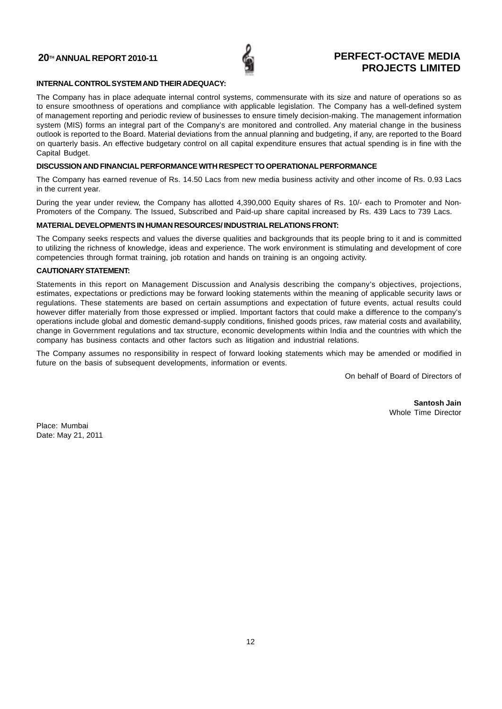![](_page_12_Picture_1.jpeg)

## **INTERNAL CONTROL SYSTEM AND THEIR ADEQUACY:**

The Company has in place adequate internal control systems, commensurate with its size and nature of operations so as to ensure smoothness of operations and compliance with applicable legislation. The Company has a well-defined system of management reporting and periodic review of businesses to ensure timely decision-making. The management information system (MIS) forms an integral part of the Company's are monitored and controlled. Any material change in the business outlook is reported to the Board. Material deviations from the annual planning and budgeting, if any, are reported to the Board on quarterly basis. An effective budgetary control on all capital expenditure ensures that actual spending is in fine with the Capital Budget.

## **DISCUSSION AND FINANCIAL PERFORMANCE WITH RESPECT TO OPERATIONAL PERFORMANCE**

The Company has earned revenue of Rs. 14.50 Lacs from new media business activity and other income of Rs. 0.93 Lacs in the current year.

During the year under review, the Company has allotted 4,390,000 Equity shares of Rs. 10/- each to Promoter and Non-Promoters of the Company. The Issued, Subscribed and Paid-up share capital increased by Rs. 439 Lacs to 739 Lacs.

## **MATERIAL DEVELOPMENTS IN HUMAN RESOURCES/ INDUSTRIAL RELATIONS FRONT:**

The Company seeks respects and values the diverse qualities and backgrounds that its people bring to it and is committed to utilizing the richness of knowledge, ideas and experience. The work environment is stimulating and development of core competencies through format training, job rotation and hands on training is an ongoing activity.

## **CAUTIONARY STATEMENT:**

Statements in this report on Management Discussion and Analysis describing the company's objectives, projections, estimates, expectations or predictions may be forward looking statements within the meaning of applicable security laws or regulations. These statements are based on certain assumptions and expectation of future events, actual results could however differ materially from those expressed or implied. Important factors that could make a difference to the company's operations include global and domestic demand-supply conditions, finished goods prices, raw material costs and availability, change in Government regulations and tax structure, economic developments within India and the countries with which the company has business contacts and other factors such as litigation and industrial relations.

The Company assumes no responsibility in respect of forward looking statements which may be amended or modified in future on the basis of subsequent developments, information or events.

On behalf of Board of Directors of

**Santosh Jain** Whole Time Director

Place: Mumbai Date: May 21, 2011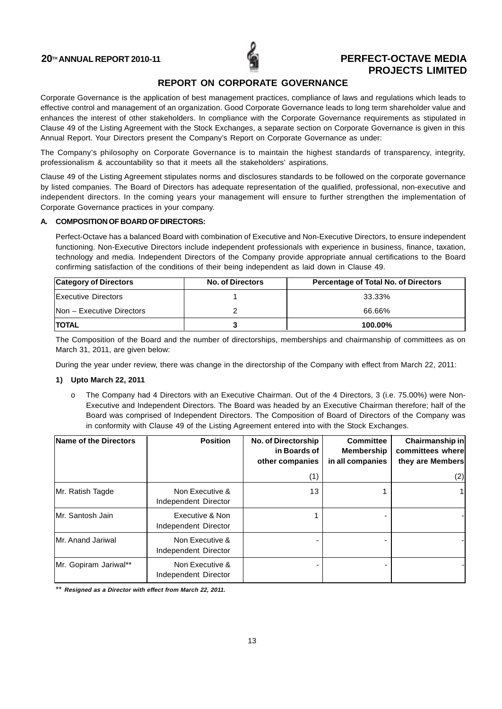![](_page_13_Picture_1.jpeg)

## **REPORT ON CORPORATE GOVERNANCE**

Corporate Governance is the application of best management practices, compliance of laws and regulations which leads to effective control and management of an organization. Good Corporate Governance leads to long term shareholder value and enhances the interest of other stakeholders. In compliance with the Corporate Governance requirements as stipulated in Clause 49 of the Listing Agreement with the Stock Exchanges, a separate section on Corporate Governance is given in this Annual Report. Your Directors present the Company's Report on Corporate Governance as under:

The Company's philosophy on Corporate Governance is to maintain the highest standards of transparency, integrity, professionalism & accountability so that it meets all the stakeholders' aspirations.

Clause 49 of the Listing Agreement stipulates norms and disclosures standards to be followed on the corporate governance by listed companies. The Board of Directors has adequate representation of the qualified, professional, non-executive and independent directors. In the coming years your management will ensure to further strengthen the implementation of Corporate Governance practices in your company.

## **A. COMPOSITION OF BOARD OF DIRECTORS:**

Perfect-Octave has a balanced Board with combination of Executive and Non-Executive Directors, to ensure independent functioning. Non-Executive Directors include independent professionals with experience in business, finance, taxation, technology and media. Independent Directors of the Company provide appropriate annual certifications to the Board confirming satisfaction of the conditions of their being independent as laid down in Clause 49.

| <b>Category of Directors</b>     | <b>No. of Directors</b> | <b>Percentage of Total No. of Directors</b> |
|----------------------------------|-------------------------|---------------------------------------------|
| <b>Executive Directors</b>       |                         | 33.33%                                      |
| <b>Non - Executive Directors</b> |                         | 66.66%                                      |
| <b>ITOTAL</b>                    |                         | 100.00%                                     |

The Composition of the Board and the number of directorships, memberships and chairmanship of committees as on March 31, 2011, are given below:

During the year under review, there was change in the directorship of the Company with effect from March 22, 2011:

## **1) Upto March 22, 2011**

o The Company had 4 Directors with an Executive Chairman. Out of the 4 Directors, 3 (i.e. 75.00%) were Non-Executive and Independent Directors. The Board was headed by an Executive Chairman therefore; half of the Board was comprised of Independent Directors. The Composition of Board of Directors of the Company was in conformity with Clause 49 of the Listing Agreement entered into with the Stock Exchanges.

| Name of the Directors    | <b>Position</b>                         | <b>No. of Directorship</b><br>in Boards of<br>other companies | <b>Committee</b><br><b>Membership</b><br>in all companies | Chairmanship in<br>committees where<br>they are Members |
|--------------------------|-----------------------------------------|---------------------------------------------------------------|-----------------------------------------------------------|---------------------------------------------------------|
|                          |                                         | (1)                                                           |                                                           | (2)                                                     |
| Mr. Ratish Tagde         | Non Executive &<br>Independent Director | 13                                                            |                                                           |                                                         |
| Mr. Santosh Jain         | Executive & Non<br>Independent Director |                                                               |                                                           |                                                         |
| <b>Mr. Anand Jariwal</b> | Non Executive &<br>Independent Director |                                                               |                                                           |                                                         |
| Mr. Gopiram Jariwal**    | Non Executive &<br>Independent Director |                                                               |                                                           |                                                         |

\*\* **Resigned as a Director with effect from March 22, 2011.**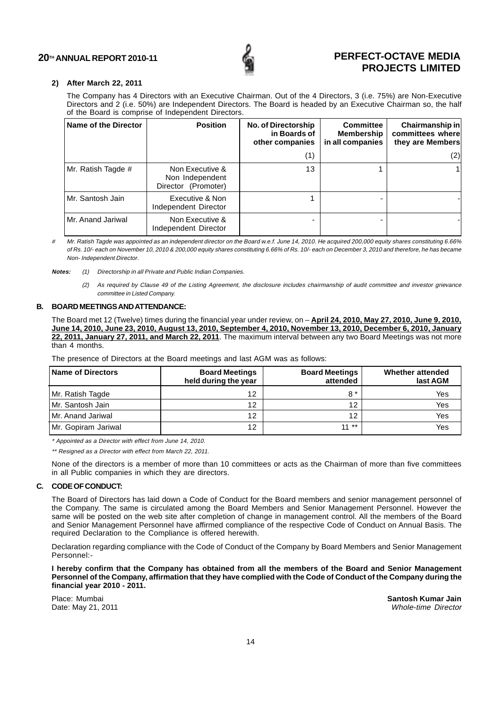![](_page_14_Picture_1.jpeg)

### **2) After March 22, 2011**

The Company has 4 Directors with an Executive Chairman. Out of the 4 Directors, 3 (i.e. 75%) are Non-Executive Directors and 2 (i.e. 50%) are Independent Directors. The Board is headed by an Executive Chairman so, the half of the Board is comprise of Independent Directors.

| Name of the Director | <b>Position</b>                                           | No. of Directorship<br>in Boards of<br>other companies | <b>Committee</b><br>Membership<br>in all companies | Chairmanship in<br>committees where<br>they are Members |
|----------------------|-----------------------------------------------------------|--------------------------------------------------------|----------------------------------------------------|---------------------------------------------------------|
|                      |                                                           | (1)                                                    |                                                    | (2)                                                     |
| Mr. Ratish Tagde #   | Non Executive &<br>Non Independent<br>Director (Promoter) | 13                                                     |                                                    |                                                         |
| Mr. Santosh Jain     | Executive & Non<br>Independent Director                   |                                                        |                                                    |                                                         |
| Mr. Anand Jariwal    | Non Executive &<br>Independent Director                   |                                                        |                                                    |                                                         |

# Mr. Ratish Tagde was appointed as an independent director on the Board w.e.f. June 14, 2010. He acquired 200,000 equity shares constituting 6.66% of Rs. 10/- each on November 10, 2010 & 200,000 equity shares constituting 6.66% of Rs. 10/- each on December 3, 2010 and therefore, he has became Non- Independent Director.

**Notes:** (1) Directorship in all Private and Public Indian Companies.

(2) As required by Clause 49 of the Listing Agreement, the disclosure includes chairmanship of audit committee and investor grievance committee in Listed Company.

#### **B. BOARD MEETINGS AND ATTENDANCE:**

The Board met 12 (Twelve) times during the financial year under review, on – **April 24, 2010, May 27, 2010, June 9, 2010, June 14, 2010, June 23, 2010, August 13, 2010, September 4, 2010, November 13, 2010, December 6, 2010, January 22, 2011, January 27, 2011, and March 22, 2011**. The maximum interval between any two Board Meetings was not more than 4 months.

The presence of Directors at the Board meetings and last AGM was as follows:

| <b>Name of Directors</b> | <b>Board Meetings</b><br>held during the year | <b>Board Meetings</b><br>attended | Whether attended<br>last AGM |
|--------------------------|-----------------------------------------------|-----------------------------------|------------------------------|
| Mr. Ratish Tagde         | 12                                            | $8*$                              | Yes                          |
| l Mr. Santosh Jain       | 12                                            | 1 つ                               | Yes                          |
| l Mr. Anand Jariwal      | 12                                            | 12                                | Yes                          |
| Mr. Gopiram Jariwal      | 12                                            | $11***$                           | Yes                          |

\* Appointed as a Director with effect from June 14, 2010.

\*\* Resigned as a Director with effect from March 22, 2011.

None of the directors is a member of more than 10 committees or acts as the Chairman of more than five committees in all Public companies in which they are directors.

#### **C. CODE OF CONDUCT:**

The Board of Directors has laid down a Code of Conduct for the Board members and senior management personnel of the Company. The same is circulated among the Board Members and Senior Management Personnel. However the same will be posted on the web site after completion of change in management control. All the members of the Board and Senior Management Personnel have affirmed compliance of the respective Code of Conduct on Annual Basis. The required Declaration to the Compliance is offered herewith.

Declaration regarding compliance with the Code of Conduct of the Company by Board Members and Senior Management Personnel:-

**I hereby confirm that the Company has obtained from all the members of the Board and Senior Management Personnel of the Company, affirmation that they have complied with the Code of Conduct of the Company during the financial year 2010 - 2011.**

Place: Mumbai **Santosh Kumar Jain** Date: May 21, 2011 **Date:** May 21, 2011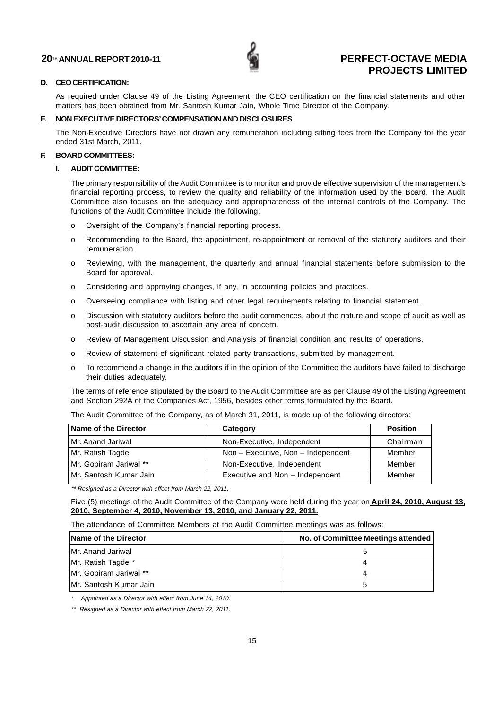![](_page_15_Picture_1.jpeg)

### **D. CEO CERTIFICATION:**

As required under Clause 49 of the Listing Agreement, the CEO certification on the financial statements and other matters has been obtained from Mr. Santosh Kumar Jain, Whole Time Director of the Company.

## **E. NON EXECUTIVE DIRECTORS' COMPENSATION AND DISCLOSURES**

The Non-Executive Directors have not drawn any remuneration including sitting fees from the Company for the year ended 31st March, 2011.

### **F. BOARD COMMITTEES:**

## **I. AUDIT COMMITTEE:**

The primary responsibility of the Audit Committee is to monitor and provide effective supervision of the management's financial reporting process, to review the quality and reliability of the information used by the Board. The Audit Committee also focuses on the adequacy and appropriateness of the internal controls of the Company. The functions of the Audit Committee include the following:

- o Oversight of the Company's financial reporting process.
- o Recommending to the Board, the appointment, re-appointment or removal of the statutory auditors and their remuneration.
- o Reviewing, with the management, the quarterly and annual financial statements before submission to the Board for approval.
- o Considering and approving changes, if any, in accounting policies and practices.
- o Overseeing compliance with listing and other legal requirements relating to financial statement.
- o Discussion with statutory auditors before the audit commences, about the nature and scope of audit as well as post-audit discussion to ascertain any area of concern.
- o Review of Management Discussion and Analysis of financial condition and results of operations.
- o Review of statement of significant related party transactions, submitted by management.
- o To recommend a change in the auditors if in the opinion of the Committee the auditors have failed to discharge their duties adequately.

The terms of reference stipulated by the Board to the Audit Committee are as per Clause 49 of the Listing Agreement and Section 292A of the Companies Act, 1956, besides other terms formulated by the Board.

| The Audit Committee of the Company, as of March 31, 2011, is made up of the following directors: |  |
|--------------------------------------------------------------------------------------------------|--|
|                                                                                                  |  |

| Name of the Director   | Category                               | <b>Position</b> |
|------------------------|----------------------------------------|-----------------|
| l Mr. Anand Jariwal    | Non-Executive, Independent             | Chairman        |
| Mr. Ratish Tagde       | Non $-$ Executive, Non $-$ Independent | Member          |
| Mr. Gopiram Jariwal ** | Non-Executive, Independent             | Member          |
| Mr. Santosh Kumar Jain | Executive and Non - Independent        | Member          |

\*\* Resigned as a Director with effect from March 22, 2011.

Five (5) meetings of the Audit Committee of the Company were held during the year on **April 24, 2010, August 13, 2010, September 4, 2010, November 13, 2010, and January 22, 2011.**

The attendance of Committee Members at the Audit Committee meetings was as follows:

| Name of the Director    | No. of Committee Meetings attended |
|-------------------------|------------------------------------|
| Mr. Anand Jariwal       |                                    |
| Mr. Ratish Tagde *      |                                    |
| Mr. Gopiram Jariwal **  |                                    |
| IMr. Santosh Kumar Jain |                                    |

\* Appointed as a Director with effect from June 14, 2010.

\*\* Resigned as a Director with effect from March 22, 2011.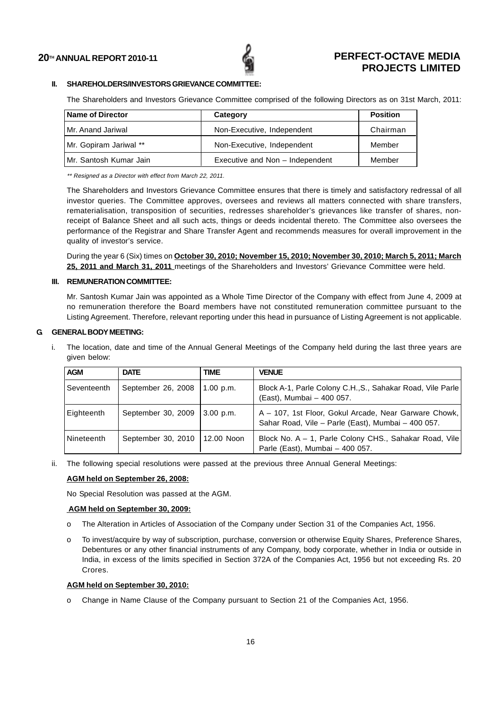![](_page_16_Picture_1.jpeg)

## **II. SHAREHOLDERS/INVESTORS GRIEVANCE COMMITTEE:**

The Shareholders and Investors Grievance Committee comprised of the following Directors as on 31st March, 2011:

| <b>Name of Director</b> | Category                        | <b>Position</b> |
|-------------------------|---------------------------------|-----------------|
| l Mr. Anand Jariwal     | Non-Executive, Independent      | Chairman        |
| Mr. Gopiram Jariwal **  | Non-Executive, Independent      | Member          |
| IMr. Santosh Kumar Jain | Executive and Non - Independent | Member          |

\*\* Resigned as a Director with effect from March 22, 2011.

The Shareholders and Investors Grievance Committee ensures that there is timely and satisfactory redressal of all investor queries. The Committee approves, oversees and reviews all matters connected with share transfers, rematerialisation, transposition of securities, redresses shareholder's grievances like transfer of shares, nonreceipt of Balance Sheet and all such acts, things or deeds incidental thereto. The Committee also oversees the performance of the Registrar and Share Transfer Agent and recommends measures for overall improvement in the quality of investor's service.

During the year 6 (Six) times on **October 30, 2010; November 15, 2010; November 30, 2010; March 5, 2011; March 25, 2011 and March 31, 2011** meetings of the Shareholders and Investors' Grievance Committee were held.

## **III. REMUNERATION COMMITTEE:**

Mr. Santosh Kumar Jain was appointed as a Whole Time Director of the Company with effect from June 4, 2009 at no remuneration therefore the Board members have not constituted remuneration committee pursuant to the Listing Agreement. Therefore, relevant reporting under this head in pursuance of Listing Agreement is not applicable.

## **G. GENERAL BODY MEETING:**

i. The location, date and time of the Annual General Meetings of the Company held during the last three years are given below:

| <b>AGM</b>  | <b>DATE</b>        | TIME        | <b>VENUE</b>                                                                                                |
|-------------|--------------------|-------------|-------------------------------------------------------------------------------------------------------------|
| Seventeenth | September 26, 2008 | $1.00$ p.m. | Block A-1, Parle Colony C.H., S., Sahakar Road, Vile Parle<br>(East), Mumbai - 400 057.                     |
| ⊦Eighteenth | September 30, 2009 | $3.00$ p.m. | A - 107, 1st Floor, Gokul Arcade, Near Garware Chowk,<br>Sahar Road, Vile - Parle (East), Mumbai - 400 057. |
| Nineteenth  | September 30, 2010 | 12.00 Noon  | Block No. A - 1, Parle Colony CHS., Sahakar Road, Vile<br>Parle (East), Mumbai - 400 057.                   |

ii. The following special resolutions were passed at the previous three Annual General Meetings:

#### **AGM held on September 26, 2008:**

No Special Resolution was passed at the AGM.

#### **AGM held on September 30, 2009:**

- o The Alteration in Articles of Association of the Company under Section 31 of the Companies Act, 1956.
- o To invest/acquire by way of subscription, purchase, conversion or otherwise Equity Shares, Preference Shares, Debentures or any other financial instruments of any Company, body corporate, whether in India or outside in India, in excess of the limits specified in Section 372A of the Companies Act, 1956 but not exceeding Rs. 20 Crores.

### **AGM held on September 30, 2010:**

o Change in Name Clause of the Company pursuant to Section 21 of the Companies Act, 1956.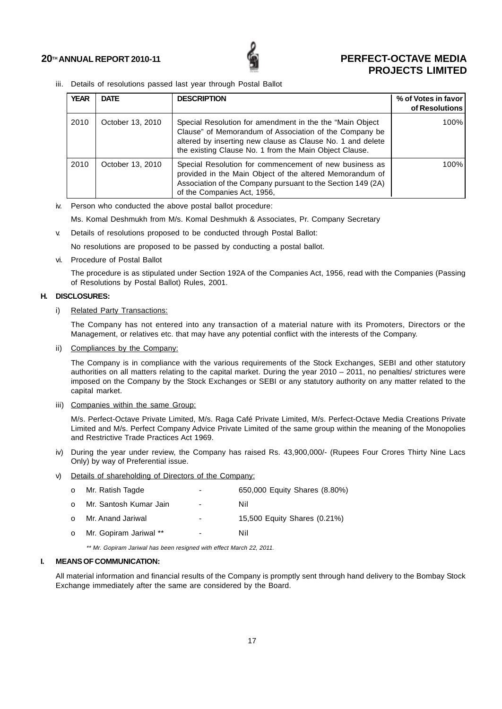![](_page_17_Picture_1.jpeg)

iii. Details of resolutions passed last year through Postal Ballot

| <b>YEAR</b> | <b>DATE</b>      | <b>DESCRIPTION</b>                                                                                                                                                                                                                         | % of Votes in favor<br>of Resolutions |
|-------------|------------------|--------------------------------------------------------------------------------------------------------------------------------------------------------------------------------------------------------------------------------------------|---------------------------------------|
| 2010        | October 13, 2010 | Special Resolution for amendment in the the "Main Object<br>Clause" of Memorandum of Association of the Company be<br>altered by inserting new clause as Clause No. 1 and delete<br>the existing Clause No. 1 from the Main Object Clause. | 100%                                  |
| 2010        | October 13, 2010 | Special Resolution for commencement of new business as<br>provided in the Main Object of the altered Memorandum of<br>Association of the Company pursuant to the Section 149 (2A)<br>of the Companies Act, 1956,                           | 100%                                  |

iv. Person who conducted the above postal ballot procedure:

Ms. Komal Deshmukh from M/s. Komal Deshmukh & Associates, Pr. Company Secretary

v. Details of resolutions proposed to be conducted through Postal Ballot:

No resolutions are proposed to be passed by conducting a postal ballot.

vi. Procedure of Postal Ballot

The procedure is as stipulated under Section 192A of the Companies Act, 1956, read with the Companies (Passing of Resolutions by Postal Ballot) Rules, 2001.

## **H. DISCLOSURES:**

## i) Related Party Transactions:

The Company has not entered into any transaction of a material nature with its Promoters, Directors or the Management, or relatives etc. that may have any potential conflict with the interests of the Company.

ii) Compliances by the Company:

The Company is in compliance with the various requirements of the Stock Exchanges, SEBI and other statutory authorities on all matters relating to the capital market. During the year 2010 – 2011, no penalties/ strictures were imposed on the Company by the Stock Exchanges or SEBI or any statutory authority on any matter related to the capital market.

iii) Companies within the same Group:

M/s. Perfect-Octave Private Limited, M/s. Raga Café Private Limited, M/s. Perfect-Octave Media Creations Private Limited and M/s. Perfect Company Advice Private Limited of the same group within the meaning of the Monopolies and Restrictive Trade Practices Act 1969.

- iv) During the year under review, the Company has raised Rs. 43,900,000/- (Rupees Four Crores Thirty Nine Lacs Only) by way of Preferential issue.
- v) Details of shareholding of Directors of the Company:

| $\Omega$ | Mr. Ratish Tagde       | -                        | 650,000 Equity Shares (8.80%) |
|----------|------------------------|--------------------------|-------------------------------|
| $\Omega$ | Mr. Santosh Kumar Jain | $\overline{\phantom{0}}$ | Nil                           |
| $\Omega$ | Mr. Anand Jariwal      | ۰                        | 15,500 Equity Shares (0.21%)  |
| $\Omega$ | Mr. Gopiram Jariwal ** | $\overline{\phantom{0}}$ | Nil                           |

\*\* Mr. Gopiram Jariwal has been resigned with effect March 22, 2011.

## **I. MEANS OF COMMUNICATION:**

All material information and financial results of the Company is promptly sent through hand delivery to the Bombay Stock Exchange immediately after the same are considered by the Board.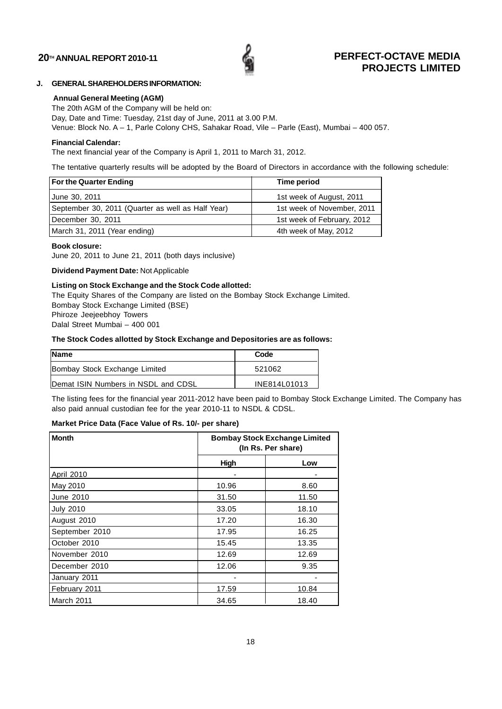![](_page_18_Picture_1.jpeg)

## **J. GENERAL SHAREHOLDERS INFORMATION:**

### **Annual General Meeting (AGM)**

The 20th AGM of the Company will be held on: Day, Date and Time: Tuesday, 21st day of June, 2011 at 3.00 P.M. Venue: Block No. A – 1, Parle Colony CHS, Sahakar Road, Vile – Parle (East), Mumbai – 400 057.

### **Financial Calendar:**

The next financial year of the Company is April 1, 2011 to March 31, 2012.

The tentative quarterly results will be adopted by the Board of Directors in accordance with the following schedule:

| For the Quarter Ending                            | Time period                |
|---------------------------------------------------|----------------------------|
| Uune 30, 2011                                     | 1st week of August, 2011   |
| September 30, 2011 (Quarter as well as Half Year) | 1st week of November, 2011 |
| December 30, 2011                                 | 1st week of February, 2012 |
| March 31, 2011 (Year ending)                      | 4th week of May, 2012      |

### **Book closure:**

June 20, 2011 to June 21, 2011 (both days inclusive)

**Dividend Payment Date:** Not Applicable

## **Listing on Stock Exchange and the Stock Code allotted:**

The Equity Shares of the Company are listed on the Bombay Stock Exchange Limited. Bombay Stock Exchange Limited (BSE) Phiroze Jeejeebhoy Towers Dalal Street Mumbai – 400 001

### **The Stock Codes allotted by Stock Exchange and Depositories are as follows:**

| <b>Name</b>                         | Code         |
|-------------------------------------|--------------|
| Bombay Stock Exchange Limited       | 521062       |
| Demat ISIN Numbers in NSDL and CDSL | INE814L01013 |

The listing fees for the financial year 2011-2012 have been paid to Bombay Stock Exchange Limited. The Company has also paid annual custodian fee for the year 2010-11 to NSDL & CDSL.

## **Market Price Data (Face Value of Rs. 10/- per share)**

| <b>Month</b>     | <b>Bombay Stock Exchange Limited</b><br>(In Rs. Per share) |       |  |
|------------------|------------------------------------------------------------|-------|--|
|                  | High                                                       | Low   |  |
| April 2010       |                                                            |       |  |
| May 2010         | 10.96                                                      | 8.60  |  |
| June 2010        | 31.50                                                      | 11.50 |  |
| <b>July 2010</b> | 33.05                                                      | 18.10 |  |
| August 2010      | 17.20                                                      | 16.30 |  |
| September 2010   | 17.95                                                      | 16.25 |  |
| October 2010     | 15.45                                                      | 13.35 |  |
| November 2010    | 12.69                                                      | 12.69 |  |
| December 2010    | 12.06                                                      | 9.35  |  |
| January 2011     |                                                            |       |  |
| February 2011    | 17.59                                                      | 10.84 |  |
| March 2011       | 34.65                                                      | 18.40 |  |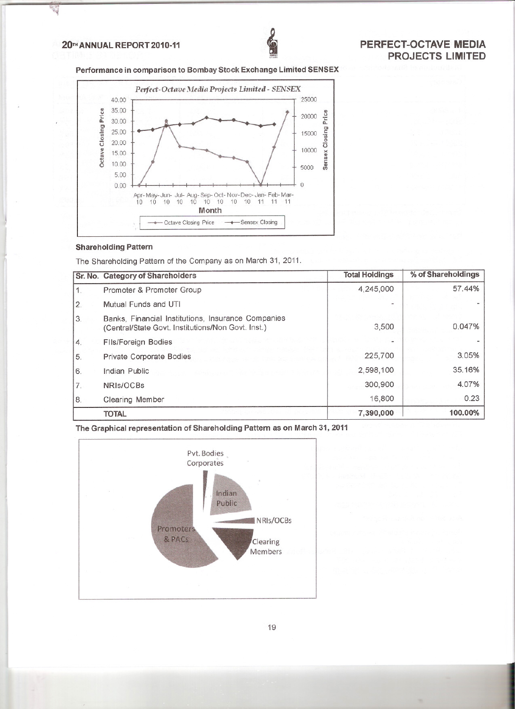## 20TH ANNUAL REPORT 2010-11

H

![](_page_19_Picture_1.jpeg)

Performance in comparison to Bombay Stock Exchange Limited SENSEX

![](_page_19_Figure_3.jpeg)

## **Shareholding Pattern**

The Shareholding Pattern of the Company as on March 31, 2011.

|    | Sr. No. Category of Shareholders                                                                         | <b>Total Holdings</b> | % of Shareholdings |
|----|----------------------------------------------------------------------------------------------------------|-----------------------|--------------------|
| 1. | Promoter & Promoter Group                                                                                | 4,245,000             | 57.44%             |
| 2. | Mutual Funds and UTI                                                                                     |                       |                    |
| 3. | Banks, Financial Institutions, Insurance Companies<br>(Central/State Govt. Institutions/Non Govt. Inst.) | 3,500                 | 0.047%             |
| 4. | <b>FIIs/Foreign Bodies</b>                                                                               |                       |                    |
| 5. | Private Corporate Bodies                                                                                 | 225,700               | 3.05%              |
| 6. | Indian Public                                                                                            | 2,598,100             | 35.16%             |
| 7. | NRIs/OCBs                                                                                                | 300,900               | 4.07%              |
| 8. | <b>Clearing Member</b>                                                                                   | 16,800                | 0.23               |
|    | <b>TOTAL</b>                                                                                             | 7,390,000             | 100.00%            |

The Graphical representation of Shareholding Pattern as on March 31, 2011

![](_page_19_Figure_8.jpeg)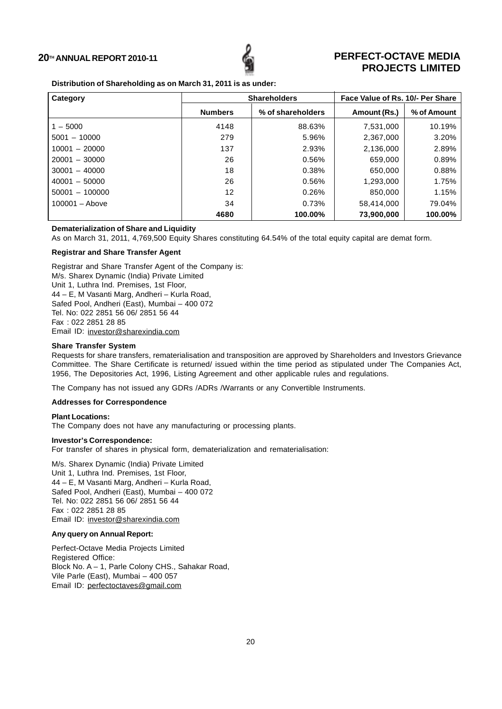![](_page_20_Picture_1.jpeg)

## **Distribution of Shareholding as on March 31, 2011 is as under:**

| Category         | <b>Shareholders</b> |                   | Face Value of Rs. 10/- Per Share |             |  |
|------------------|---------------------|-------------------|----------------------------------|-------------|--|
|                  | <b>Numbers</b>      | % of shareholders | Amount (Rs.)                     | % of Amount |  |
| $1 - 5000$       | 4148                | 88.63%            | 7,531,000                        | 10.19%      |  |
| $5001 - 10000$   | 279                 | 5.96%             | 2,367,000                        | 3.20%       |  |
| $10001 - 20000$  | 137                 | 2.93%             | 2,136,000                        | 2.89%       |  |
| $20001 - 30000$  | 26                  | 0.56%             | 659,000                          | 0.89%       |  |
| $30001 - 40000$  | 18                  | 0.38%             | 650,000                          | 0.88%       |  |
| $40001 - 50000$  | 26                  | 0.56%             | 1,293,000                        | 1.75%       |  |
| $50001 - 100000$ | 12                  | 0.26%             | 850,000                          | 1.15%       |  |
| $100001 -$ Above | 34                  | 0.73%             | 58,414,000                       | 79.04%      |  |
|                  | 4680                | 100.00%           | 73,900,000                       | 100.00%     |  |

## **Dematerialization of Share and Liquidity**

As on March 31, 2011, 4,769,500 Equity Shares constituting 64.54% of the total equity capital are demat form.

## **Registrar and Share Transfer Agent**

Registrar and Share Transfer Agent of the Company is: M/s. Sharex Dynamic (India) Private Limited Unit 1, Luthra Ind. Premises, 1st Floor, 44 – E, M Vasanti Marg, Andheri – Kurla Road, Safed Pool, Andheri (East), Mumbai – 400 072 Tel. No: 022 2851 56 06/ 2851 56 44 Fax : 022 2851 28 85 Email ID: investor@sharexindia.com

## **Share Transfer System**

Requests for share transfers, rematerialisation and transposition are approved by Shareholders and Investors Grievance Committee. The Share Certificate is returned/ issued within the time period as stipulated under The Companies Act, 1956, The Depositories Act, 1996, Listing Agreement and other applicable rules and regulations.

The Company has not issued any GDRs /ADRs /Warrants or any Convertible Instruments.

## **Addresses for Correspondence**

## **Plant Locations:**

The Company does not have any manufacturing or processing plants.

### **Investor's Correspondence:**

For transfer of shares in physical form, dematerialization and rematerialisation:

M/s. Sharex Dynamic (India) Private Limited Unit 1, Luthra Ind. Premises, 1st Floor, 44 – E, M Vasanti Marg, Andheri – Kurla Road, Safed Pool, Andheri (East), Mumbai – 400 072 Tel. No: 022 2851 56 06/ 2851 56 44 Fax : 022 2851 28 85 Email ID: investor@sharexindia.com

#### **Any query on Annual Report:**

Perfect-Octave Media Projects Limited Registered Office: Block No. A – 1, Parle Colony CHS., Sahakar Road, Vile Parle (East), Mumbai – 400 057 Email ID: perfectoctaves@gmail.com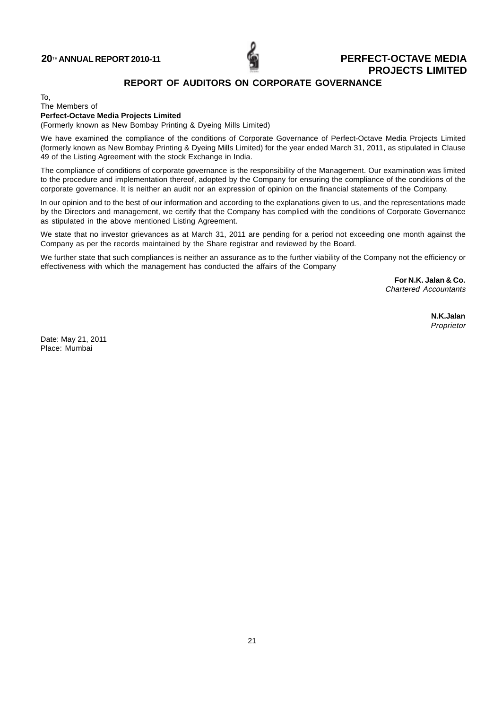![](_page_21_Picture_1.jpeg)

## **REPORT OF AUDITORS ON CORPORATE GOVERNANCE**

To,

#### The Members of **Perfect-Octave Media Projects Limited**

(Formerly known as New Bombay Printing & Dyeing Mills Limited)

We have examined the compliance of the conditions of Corporate Governance of Perfect-Octave Media Projects Limited (formerly known as New Bombay Printing & Dyeing Mills Limited) for the year ended March 31, 2011, as stipulated in Clause 49 of the Listing Agreement with the stock Exchange in India.

The compliance of conditions of corporate governance is the responsibility of the Management. Our examination was limited to the procedure and implementation thereof, adopted by the Company for ensuring the compliance of the conditions of the corporate governance. It is neither an audit nor an expression of opinion on the financial statements of the Company.

In our opinion and to the best of our information and according to the explanations given to us, and the representations made by the Directors and management, we certify that the Company has complied with the conditions of Corporate Governance as stipulated in the above mentioned Listing Agreement.

We state that no investor grievances as at March 31, 2011 are pending for a period not exceeding one month against the Company as per the records maintained by the Share registrar and reviewed by the Board.

We further state that such compliances is neither an assurance as to the further viability of the Company not the efficiency or effectiveness with which the management has conducted the affairs of the Company

> **For N.K. Jalan & Co.** Chartered Accountants

> > **N.K.Jalan** Proprietor

Date: May 21, 2011 Place: Mumbai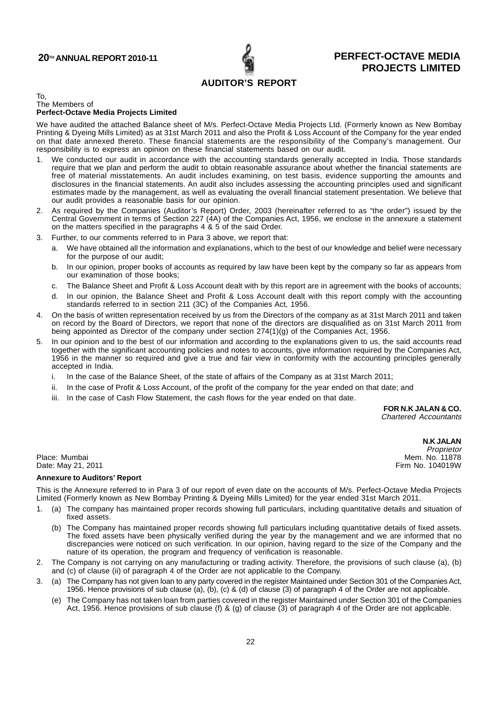## **AUDITOR'S REPORT**

#### To, The Members of

## **Perfect-Octave Media Projects Limited**

We have audited the attached Balance sheet of M/s. Perfect-Octave Media Projects Ltd. (Formerly known as New Bombay Printing & Dyeing Mills Limited) as at 31st March 2011 and also the Profit & Loss Account of the Company for the year ended on that date annexed thereto. These financial statements are the responsibility of the Company's management. Our responsibility is to express an opinion on these financial statements based on our audit.

- 1. We conducted our audit in accordance with the accounting standards generally accepted in India. Those standards require that we plan and perform the audit to obtain reasonable assurance about whether the financial statements are free of material misstatements. An audit includes examining, on test basis, evidence supporting the amounts and disclosures in the financial statements. An audit also includes assessing the accounting principles used and significant estimates made by the management, as well as evaluating the overall financial statement presentation. We believe that our audit provides a reasonable basis for our opinion.
- 2. As required by the Companies (Auditor's Report) Order, 2003 (hereinafter referred to as "the order") issued by the Central Government in terms of Section 227 (4A) of the Companies Act, 1956, we enclose in the annexure a statement on the matters specified in the paragraphs 4 & 5 of the said Order.
- 3. Further, to our comments referred to in Para 3 above, we report that:
	- a. We have obtained all the information and explanations, which to the best of our knowledge and belief were necessary for the purpose of our audit;
	- b. In our opinion, proper books of accounts as required by law have been kept by the company so far as appears from our examination of those books;
	- c. The Balance Sheet and Profit & Loss Account dealt with by this report are in agreement with the books of accounts;
	- d. In our opinion, the Balance Sheet and Profit & Loss Account dealt with this report comply with the accounting standards referred to in section 211 (3C) of the Companies Act, 1956.
- 4. On the basis of written representation received by us from the Directors of the company as at 31st March 2011 and taken on record by the Board of Directors, we report that none of the directors are disqualified as on 31st March 2011 from being appointed as Director of the company under section 274(1)(g) of the Companies Act, 1956.
- 5. In our opinion and to the best of our information and according to the explanations given to us, the said accounts read together with the significant accounting policies and notes to accounts, give information required by the Companies Act, 1956 in the manner so required and give a true and fair view in conformity with the accounting principles generally accepted in India.
	- i. In the case of the Balance Sheet, of the state of affairs of the Company as at 31st March 2011;
	- ii. In the case of Profit & Loss Account, of the profit of the company for the year ended on that date; and
	- iii. In the case of Cash Flow Statement, the cash flows for the year ended on that date.

**FOR N.K JALAN & CO.**

Chartered Accountants

**N.K JALAN** Proprietor

Place: Mumbai Mem. No. 11878<br>Date: May 21. 2011 No. 11879 News Service Studies and Service Studies and Service Studies and Mem. No. 11878 Date: May 21, 2011

#### **Annexure to Auditors' Report**

This is the Annexure referred to in Para 3 of our report of even date on the accounts of M/s. Perfect-Octave Media Projects Limited (Formerly known as New Bombay Printing & Dyeing Mills Limited) for the year ended 31st March 2011.

- 1. (a) The company has maintained proper records showing full particulars, including quantitative details and situation of fixed assets.
	- (b) The Company has maintained proper records showing full particulars including quantitative details of fixed assets. The fixed assets have been physically verified during the year by the management and we are informed that no discrepancies were noticed on such verification. In our opinion, having regard to the size of the Company and the nature of its operation, the program and frequency of verification is reasonable.
- 2. The Company is not carrying on any manufacturing or trading activity. Therefore, the provisions of such clause (a), (b) and (c) of clause (ii) of paragraph 4 of the Order are not applicable to the Company.
- 3. (a) The Company has not given loan to any party covered in the register Maintained under Section 301 of the Companies Act, 1956. Hence provisions of sub clause (a), (b), (c) & (d) of clause (3) of paragraph 4 of the Order are not applicable.
	- (e) The Company has not taken loan from parties covered in the register Maintained under Section 301 of the Companies Act, 1956. Hence provisions of sub clause (f) & (g) of clause (3) of paragraph 4 of the Order are not applicable.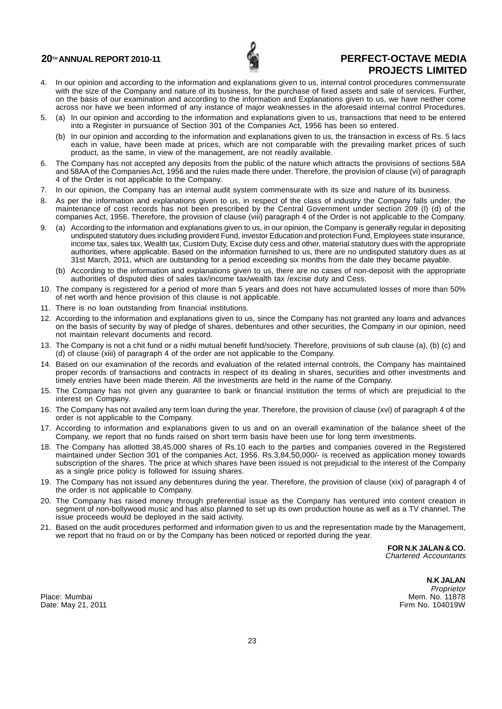![](_page_23_Picture_1.jpeg)

- 4. In our opinion and according to the information and explanations given to us, internal control procedures commensurate with the size of the Company and nature of its business, for the purchase of fixed assets and sale of services. Further, on the basis of our examination and according to the information and Explanations given to us, we have neither come across nor have we been informed of any instance of major weaknesses in the aforesaid internal control Procedures.
- 5. (a) In our opinion and according to the information and explanations given to us, transactions that need to be entered into a Register in pursuance of Section 301 of the Companies Act, 1956 has been so entered.
	- (b) In our opinion and according to the information and explanations given to us, the transaction in excess of Rs. 5 lacs each in value, have been made at prices, which are not comparable with the prevailing market prices of such product, as the same, in view of the management, are not readily available.
- 6. The Company has not accepted any deposits from the public of the nature which attracts the provisions of sections 58A and 58AA of the Companies Act, 1956 and the rules made there under. Therefore, the provision of clause (vi) of paragraph 4 of the Order is not applicable to the Company.
- 7. In our opinion, the Company has an internal audit system commensurate with its size and nature of its business.
- As per the information and explanations given to us, in respect of the class of industry the Company falls under, the maintenance of cost records has not been prescribed by the Central Government under section 209 (l) (d) of the companies Act, 1956. Therefore, the provision of clause (viii) paragraph 4 of the Order is not applicable to the Company.
- 9. (a) According to the information and explanations given to us, in our opinion, the Company is generally regular in depositing undisputed statutory dues including provident Fund, investor Education and protection Fund, Employees state insurance, income tax, sales tax, Wealth tax, Custom Duty, Excise duty cess and other, material statutory dues with the appropriate authorities, where applicable. Based on the information furnished to us, there are no undisputed statutory dues as at 31st March, 2011, which are outstanding for a period exceeding six months from the date they became payable.
	- (b) According to the information and explanations given to us, there are no cases of non-deposit with the appropriate authorities of disputed dies of sales tax/income tax/wealth tax /excise duty and Cess.
- 10. The company is registered for a period of more than 5 years and does not have accumulated losses of more than 50% of net worth and hence provision of this clause is not applicable.
- 11. There is no loan outstanding from financial institutions.
- 12. According to the information and explanations given to us, since the Company has not granted any loans and advances on the basis of security by way of pledge of shares, debentures and other securities, the Company in our opinion, need not maintain relevant documents and record.
- 13. The Company is not a chit fund or a nidhi mutual benefit fund/society. Therefore, provisions of sub clause (a), (b) (c) and (d) of clause (xiii) of paragraph 4 of the order are not applicable to the Company.
- 14. Based on our examination of the records and evaluation of the related internal controls, the Company has maintained proper records of transactions and contracts in respect of its dealing in shares, securities and other investments and timely entries have been made therein. All the investments are held in the name of the Company.
- 15. The Company has not given any guarantee to bank or financial institution the terms of which are prejudicial to the interest on Company.
- 16. The Company has not availed any term loan during the year. Therefore, the provision of clause (xvi) of paragraph 4 of the order is not applicable to the Company.
- 17. According to information and explanations given to us and on an overall examination of the balance sheet of the Company, we report that no funds raised on short term basis have been use for long term investments.
- 18. The Company has allotted 38,45,000 shares of Rs.10 each to the parties and companies covered in the Registered maintained under Section 301 of the companies Act, 1956. Rs.3,84,50,000/- is received as application money towards subscription of the shares. The price at which shares have been issued is not prejudicial to the interest of the Company as a single price policy is followed for issuing shares.
- 19. The Company has not issued any debentures during the year. Therefore, the provision of clause (xix) of paragraph 4 of the order is not applicable to Company.
- 20. The Company has raised money through preferential issue as the Company has ventured into content creation in segment of non-bollywood music and has also planned to set up its own production house as well as a TV channel. The issue proceeds would be deployed in the said activity.
- 21. Based on the audit procedures performed and information given to us and the representation made by the Management, we report that no fraud on or by the Company has been noticed or reported during the year.

**FOR N.K JALAN & CO.** Chartered Accountants

Date: May 21, 2011

**N.K JALAN** Proprietor Place: Mumbai Mem. No. 11878<br>Date: May 21, 2011 Mem. No. 11878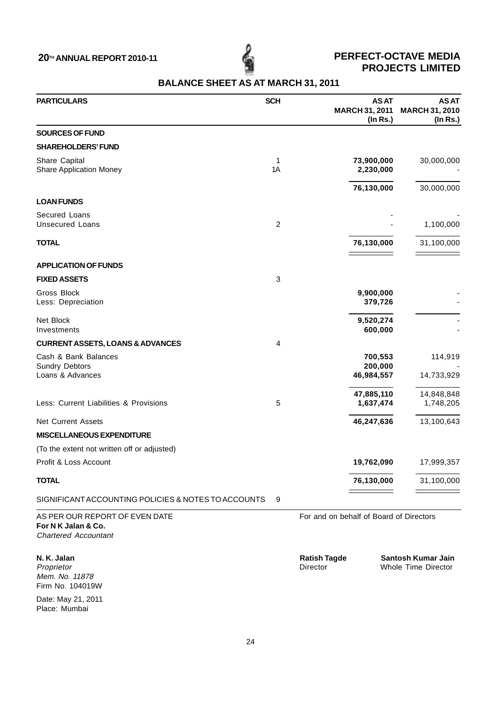| <b>PARTICULARS</b>                                                                   | <b>SCH</b>     |                                         | <b>ASAT</b><br><b>MARCH 31, 2011</b><br>$($ ln Rs. $)$ | <b>ASAT</b><br><b>MARCH 31, 2010</b><br>(In Rs.) |
|--------------------------------------------------------------------------------------|----------------|-----------------------------------------|--------------------------------------------------------|--------------------------------------------------|
| <b>SOURCES OF FUND</b>                                                               |                |                                         |                                                        |                                                  |
| <b>SHAREHOLDERS' FUND</b>                                                            |                |                                         |                                                        |                                                  |
| Share Capital<br>Share Application Money                                             | 1<br>1A        |                                         | 73,900,000<br>2,230,000                                | 30,000,000                                       |
|                                                                                      |                |                                         | 76,130,000                                             | 30,000,000                                       |
| <b>LOAN FUNDS</b>                                                                    |                |                                         |                                                        |                                                  |
| Secured Loans                                                                        |                |                                         |                                                        |                                                  |
| <b>Unsecured Loans</b>                                                               | $\overline{c}$ |                                         |                                                        | 1,100,000                                        |
| <b>TOTAL</b>                                                                         |                |                                         | 76,130,000                                             | 31,100,000                                       |
| <b>APPLICATION OF FUNDS</b>                                                          |                |                                         |                                                        |                                                  |
| <b>FIXED ASSETS</b>                                                                  | 3              |                                         |                                                        |                                                  |
| Gross Block<br>Less: Depreciation                                                    |                |                                         | 9,900,000<br>379,726                                   |                                                  |
| Net Block<br>Investments                                                             |                |                                         | 9,520,274<br>600,000                                   |                                                  |
| <b>CURRENT ASSETS, LOANS &amp; ADVANCES</b>                                          | 4              |                                         |                                                        |                                                  |
| Cash & Bank Balances<br><b>Sundry Debtors</b>                                        |                |                                         | 700,553<br>200,000                                     | 114,919                                          |
| Loans & Advances                                                                     |                |                                         | 46,984,557                                             | 14,733,929                                       |
| Less: Current Liabilities & Provisions                                               | 5              |                                         | 47,885,110<br>1,637,474                                | 14,848,848<br>1,748,205                          |
| <b>Net Current Assets</b>                                                            |                |                                         | 46,247,636                                             | 13,100,643                                       |
| <b>MISCELLANEOUS EXPENDITURE</b>                                                     |                |                                         |                                                        |                                                  |
| (To the extent not written off or adjusted)                                          |                |                                         |                                                        |                                                  |
| Profit & Loss Account                                                                |                |                                         | 19,762,090                                             | 17,999,357                                       |
| <b>TOTAL</b>                                                                         |                |                                         | 76,130,000                                             | 31,100,000                                       |
| SIGNIFICANT ACCOUNTING POLICIES & NOTES TO ACCOUNTS                                  | 9              |                                         |                                                        |                                                  |
| AS PER OUR REPORT OF EVEN DATE<br>For N K Jalan & Co.<br><b>Chartered Accountant</b> |                | For and on behalf of Board of Directors |                                                        |                                                  |
| N. K. Jalan<br>Proprietor<br>Mem. No. 11878<br>Firm No. 104019W                      |                | <b>Ratish Tagde</b><br>Director         |                                                        | Santosh Kumar Jain<br>Whole Time Director        |

**BALANCE SHEET AS AT MARCH 31, 2011**

Date: May 21, 2011 Place: Mumbai

24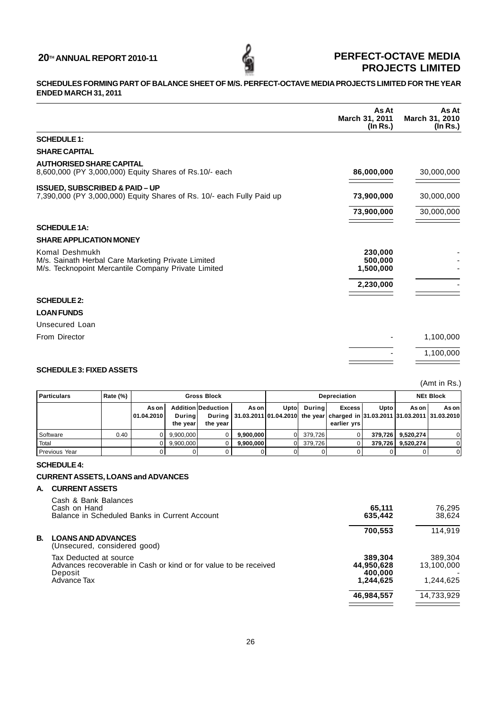## **SCHEDULES FORMING PART OF BALANCE SHEET OF M/S. PERFECT-OCTAVE MEDIA PROJECTS LIMITED FOR THE YEAR ENDED MARCH 31, 2011**

|                                                                                                                             | As At<br>March 31, 2011<br>$($ ln Rs. $)$ | As At<br>March 31, 2010<br>(In Rs.) |
|-----------------------------------------------------------------------------------------------------------------------------|-------------------------------------------|-------------------------------------|
| <b>SCHEDULE 1:</b>                                                                                                          |                                           |                                     |
| <b>SHARE CAPITAL</b>                                                                                                        |                                           |                                     |
| <b>AUTHORISED SHARE CAPITAL</b><br>8,600,000 (PY 3,000,000) Equity Shares of Rs.10/- each                                   | 86,000,000                                | 30,000,000                          |
| <b>ISSUED, SUBSCRIBED &amp; PAID-UP</b><br>7,390,000 (PY 3,000,000) Equity Shares of Rs. 10/- each Fully Paid up            | 73,900,000                                | 30,000,000                          |
|                                                                                                                             | 73,900,000                                | 30,000,000                          |
| <b>SCHEDULE 1A:</b>                                                                                                         |                                           |                                     |
| <b>SHARE APPLICATION MONEY</b>                                                                                              |                                           |                                     |
| Komal Deshmukh<br>M/s. Sainath Herbal Care Marketing Private Limited<br>M/s. Tecknopoint Mercantile Company Private Limited | 230,000<br>500,000<br>1,500,000           |                                     |
|                                                                                                                             | 2,230,000                                 |                                     |
| <b>SCHEDULE 2:</b>                                                                                                          |                                           |                                     |
| <b>LOAN FUNDS</b>                                                                                                           |                                           |                                     |
| <b>Unsecured Loan</b>                                                                                                       |                                           |                                     |
| From Director                                                                                                               |                                           | 1,100,000                           |
|                                                                                                                             |                                           | 1,100,000                           |
| SCHEDLILE 3. FIXED ASSETS                                                                                                   |                                           |                                     |

## **SCHEDULE 3: FIXED ASSETS**

(Amt in Rs.)

| Particulars     | Rate (%) |                       |                           | <b>Gross Block</b>                    |           | <b>Depreciation</b> |          |                                                                                                                          | <b>NEt Block</b> |                     |         |
|-----------------|----------|-----------------------|---------------------------|---------------------------------------|-----------|---------------------|----------|--------------------------------------------------------------------------------------------------------------------------|------------------|---------------------|---------|
|                 |          | As on<br>  01.04.2010 | <b>During</b><br>the vear | <b>Addition Deduction</b><br>the vear | As on     | Uptol               | During   | Excess I<br>During   31.03.2011   01.04.2010   the year charged in 31.03.2011   31.03.2011   31.03.2010  <br>earlier vrs | Upto l           | As on               | As on l |
| l Software      | 0.40     | 0                     | 9,900,000                 |                                       | 9.900.000 |                     | 379.726l |                                                                                                                          |                  | 379,726   9,520,274 |         |
| Total           |          |                       | 9.900.000                 |                                       | 9.900.000 |                     | 379.726  |                                                                                                                          |                  | 379,726 9,520,274   |         |
| l Previous Year |          |                       |                           |                                       |           |                     |          |                                                                                                                          |                  |                     | ΩI      |

## **SCHEDULE 4:**

## **CURRENT ASSETS, LOANS and ADVANCES**

## **A. CURRENT ASSETS**

| Cash & Bank Balances<br>Cash on Hand<br>Balance in Scheduled Banks in Current Account                                | 65,111<br>635,442                             | 76.295<br>38,624                   |
|----------------------------------------------------------------------------------------------------------------------|-----------------------------------------------|------------------------------------|
| В.<br><b>LOANS AND ADVANCES</b><br>(Unsecured, considered good)                                                      | 700,553                                       | 114.919                            |
| Tax Deducted at source<br>Advances recoverable in Cash or kind or for value to be received<br>Deposit<br>Advance Tax | 389,304<br>44,950,628<br>400,000<br>1,244,625 | 389,304<br>13.100.000<br>1,244,625 |
|                                                                                                                      | 46,984,557                                    | 14,733,929                         |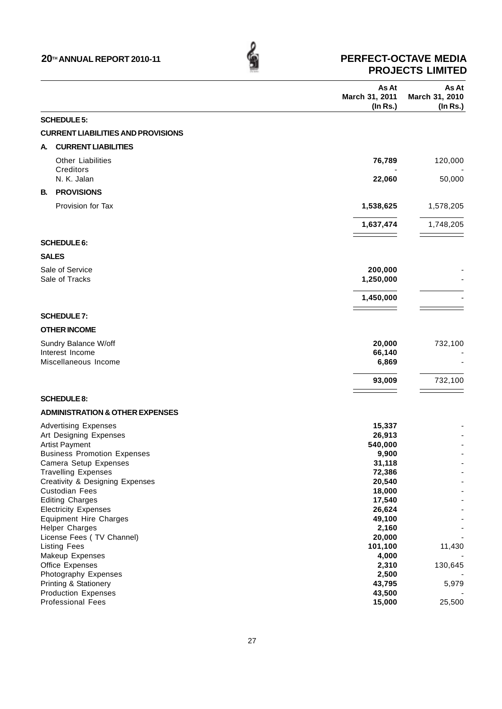|    |                                                     | As At<br>March 31, 2011<br>(In Rs.) | As At<br>March 31, 2010<br>$($ In Rs. $)$ |
|----|-----------------------------------------------------|-------------------------------------|-------------------------------------------|
|    | <b>SCHEDULE 5:</b>                                  |                                     |                                           |
|    | <b>CURRENT LIABILITIES AND PROVISIONS</b>           |                                     |                                           |
|    |                                                     |                                     |                                           |
| А. | <b>CURRENT LIABILITIES</b>                          |                                     |                                           |
|    | <b>Other Liabilities</b>                            | 76,789                              | 120,000                                   |
|    | Creditors                                           |                                     |                                           |
|    | N. K. Jalan                                         | 22,060                              | 50,000                                    |
| В. | <b>PROVISIONS</b>                                   |                                     |                                           |
|    | Provision for Tax                                   | 1,538,625                           | 1,578,205                                 |
|    |                                                     |                                     |                                           |
|    |                                                     | 1,637,474                           | 1,748,205                                 |
|    |                                                     |                                     |                                           |
|    | <b>SCHEDULE 6:</b>                                  |                                     |                                           |
|    | <b>SALES</b>                                        |                                     |                                           |
|    | Sale of Service                                     | 200,000                             |                                           |
|    | Sale of Tracks                                      | 1,250,000                           |                                           |
|    |                                                     | 1,450,000                           |                                           |
|    | <b>SCHEDULE 7:</b>                                  |                                     |                                           |
|    | <b>OTHER INCOME</b>                                 |                                     |                                           |
|    |                                                     |                                     |                                           |
|    | Sundry Balance W/off<br>Interest Income             | 20,000<br>66,140                    | 732,100                                   |
|    | Miscellaneous Income                                | 6,869                               |                                           |
|    |                                                     |                                     |                                           |
|    |                                                     | 93,009                              | 732,100                                   |
|    | <b>SCHEDULE 8:</b>                                  |                                     |                                           |
|    | <b>ADMINISTRATION &amp; OTHER EXPENSES</b>          |                                     |                                           |
|    | <b>Advertising Expenses</b>                         | 15,337                              |                                           |
|    | Art Designing Expenses                              | 26,913                              |                                           |
|    | <b>Artist Payment</b>                               | 540,000                             |                                           |
|    | <b>Business Promotion Expenses</b>                  | 9,900                               |                                           |
|    | Camera Setup Expenses<br><b>Travelling Expenses</b> | 31,118                              |                                           |
|    | Creativity & Designing Expenses                     | 72,386<br>20,540                    |                                           |
|    | <b>Custodian Fees</b>                               | 18,000                              |                                           |
|    | <b>Editing Charges</b>                              | 17,540                              |                                           |
|    | <b>Electricity Expenses</b>                         | 26,624                              |                                           |
|    | <b>Equipment Hire Charges</b>                       | 49,100                              |                                           |
|    | <b>Helper Charges</b>                               | 2,160                               |                                           |
|    | License Fees (TV Channel)                           | 20,000                              |                                           |
|    | <b>Listing Fees</b>                                 | 101,100                             | 11,430                                    |
|    | Makeup Expenses<br>Office Expenses                  | 4,000                               |                                           |
|    | Photography Expenses                                | 2,310<br>2,500                      | 130,645                                   |
|    | <b>Printing &amp; Stationery</b>                    | 43,795                              | 5,979                                     |
|    | <b>Production Expenses</b>                          | 43,500                              |                                           |
|    | Professional Fees                                   | 15,000                              | 25,500                                    |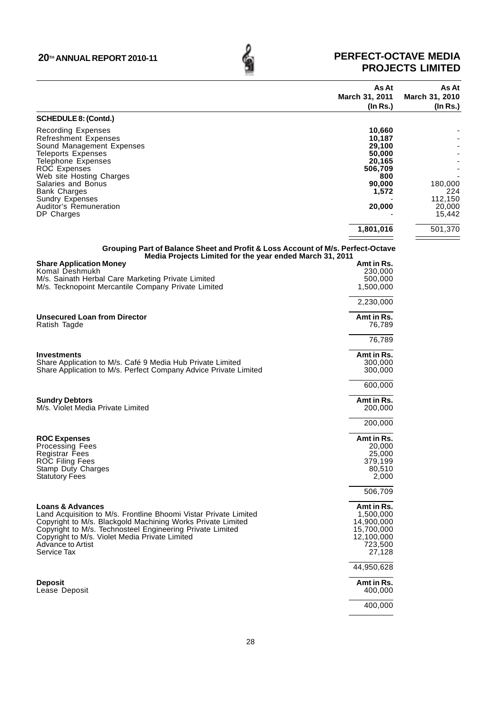## **20™ ANNUAL REPORT 2010-11 PERFECT-OCTAVE MEDIA**<br>PROJECTS LIMITED **PROJECTS LIMITED**

|                                                                                                                                             | As At                            | As At                            |
|---------------------------------------------------------------------------------------------------------------------------------------------|----------------------------------|----------------------------------|
|                                                                                                                                             | March 31, 2011<br>$($ ln Rs. $)$ | March 31, 2010<br>$($ ln Rs. $)$ |
| <b>SCHEDULE 8: (Contd.)</b>                                                                                                                 |                                  |                                  |
| <b>Recording Expenses</b>                                                                                                                   | 10,660                           |                                  |
| <b>Refreshment Expenses</b>                                                                                                                 | 10,187                           |                                  |
| Sound Management Expenses                                                                                                                   | 29,100                           |                                  |
| <b>Teleports Expenses</b>                                                                                                                   | 50,000                           |                                  |
| <b>Telephone Expenses</b><br><b>ROC Expenses</b>                                                                                            | 20,165<br>506,709                |                                  |
| Web site Hosting Charges                                                                                                                    | 800                              |                                  |
| Salaries and Bonus                                                                                                                          | 90,000                           | 180,000                          |
| <b>Bank Charges</b>                                                                                                                         | 1,572                            | 224                              |
| <b>Sundry Expenses</b><br>Auditor's Remuneration                                                                                            |                                  | 112,150                          |
| DP Charges                                                                                                                                  | 20,000                           | 20,000<br>15,442                 |
|                                                                                                                                             |                                  |                                  |
|                                                                                                                                             | 1,801,016                        | 501,370                          |
| Grouping Part of Balance Sheet and Profit & Loss Account of M/s. Perfect-Octave<br>Media Projects Limited for the year ended March 31, 2011 |                                  |                                  |
| <b>Share Application Money</b>                                                                                                              | Amt in Rs.                       |                                  |
| Komal Deshmukh<br>M/s. Sainath Herbal Care Marketing Private Limited                                                                        | 230,000                          |                                  |
| M/s. Tecknopoint Mercantile Company Private Limited                                                                                         | 500,000<br>1,500,000             |                                  |
|                                                                                                                                             | 2,230,000                        |                                  |
|                                                                                                                                             |                                  |                                  |
| <b>Unsecured Loan from Director</b><br>Ratish Tagde                                                                                         | Amt in Rs.<br>76,789             |                                  |
|                                                                                                                                             | 76,789                           |                                  |
| <b>Investments</b>                                                                                                                          | Amt in Rs.                       |                                  |
| Share Application to M/s. Café 9 Media Hub Private Limited                                                                                  | 300,000                          |                                  |
| Share Application to M/s. Perfect Company Advice Private Limited                                                                            | 300,000                          |                                  |
|                                                                                                                                             |                                  |                                  |
|                                                                                                                                             | 600,000                          |                                  |
| <b>Sundry Debtors</b>                                                                                                                       | Amt in Rs.                       |                                  |
| M/s. Violet Media Private Limited                                                                                                           | 200,000                          |                                  |
|                                                                                                                                             | 200,000                          |                                  |
| <b>ROC Expenses</b>                                                                                                                         | Amt in Rs.                       |                                  |
| <b>Processing Fees</b>                                                                                                                      | 20,000                           |                                  |
| Registrar Fees                                                                                                                              | 25,000                           |                                  |
| ROC Filing Fees                                                                                                                             | 379,199                          |                                  |
| Stamp Duty Charges                                                                                                                          | 80,510                           |                                  |
| <b>Statutory Fees</b>                                                                                                                       | 2,000                            |                                  |
|                                                                                                                                             | 506,709                          |                                  |
| <b>Loans &amp; Advances</b>                                                                                                                 | Amt in Rs.                       |                                  |
| Land Acquisition to M/s. Frontline Bhoomi Vistar Private Limited                                                                            | 1,500,000                        |                                  |
| Copyright to M/s. Blackgold Machining Works Private Limited                                                                                 | 14,900,000                       |                                  |
| Copyright to M/s. Technosteel Engineering Private Limited                                                                                   | 15,700,000                       |                                  |
| Copyright to M/s. Violet Media Private Limited                                                                                              | 12,100,000                       |                                  |
| Advance to Artist<br>Service Tax                                                                                                            | 723,500                          |                                  |
|                                                                                                                                             | 27,128<br>44,950,628             |                                  |
|                                                                                                                                             |                                  |                                  |
| <b>Deposit</b>                                                                                                                              | Amt in Rs.                       |                                  |
| Lease Deposit                                                                                                                               | 400,000                          |                                  |
|                                                                                                                                             | 400,000                          |                                  |
|                                                                                                                                             |                                  |                                  |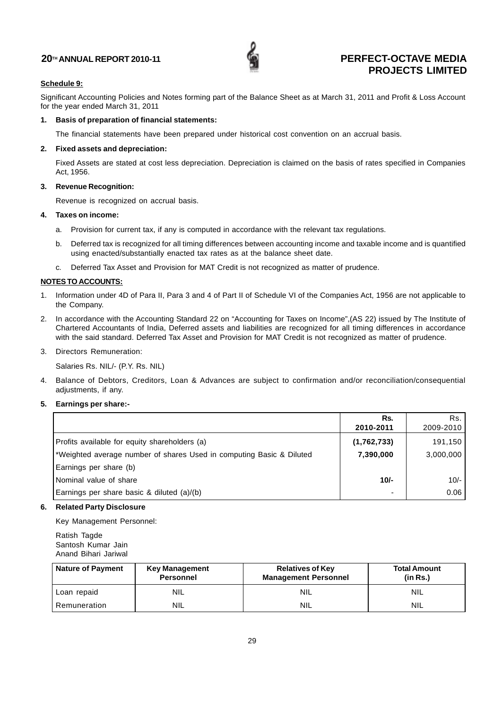![](_page_28_Picture_1.jpeg)

## **Schedule 9:**

Significant Accounting Policies and Notes forming part of the Balance Sheet as at March 31, 2011 and Profit & Loss Account for the year ended March 31, 2011

## **1. Basis of preparation of financial statements:**

The financial statements have been prepared under historical cost convention on an accrual basis.

## **2. Fixed assets and depreciation:**

Fixed Assets are stated at cost less depreciation. Depreciation is claimed on the basis of rates specified in Companies Act, 1956.

## **3. Revenue Recognition:**

Revenue is recognized on accrual basis.

## **4. Taxes on income:**

- a. Provision for current tax, if any is computed in accordance with the relevant tax regulations.
- b. Deferred tax is recognized for all timing differences between accounting income and taxable income and is quantified using enacted/substantially enacted tax rates as at the balance sheet date.
- c. Deferred Tax Asset and Provision for MAT Credit is not recognized as matter of prudence.

## **NOTES TO ACCOUNTS:**

- 1. Information under 4D of Para II, Para 3 and 4 of Part II of Schedule VI of the Companies Act, 1956 are not applicable to the Company.
- 2. In accordance with the Accounting Standard 22 on "Accounting for Taxes on Income",(AS 22) issued by The Institute of Chartered Accountants of India, Deferred assets and liabilities are recognized for all timing differences in accordance with the said standard. Deferred Tax Asset and Provision for MAT Credit is not recognized as matter of prudence.

## 3. Directors Remuneration:

Salaries Rs. NIL/- (P.Y. Rs. NIL)

4. Balance of Debtors, Creditors, Loan & Advances are subject to confirmation and/or reconciliation/consequential adjustments, if any.

## **5. Earnings per share:-**

|                                                                       | Rs.                      | Rs.       |
|-----------------------------------------------------------------------|--------------------------|-----------|
|                                                                       | 2010-2011                | 2009-2010 |
| Profits available for equity shareholders (a)                         | (1,762,733)              | 191,150   |
| l*Weighted average number of shares Used in computing Basic & Diluted | 7,390,000                | 3,000,000 |
| Earnings per share (b)                                                |                          |           |
| Nominal value of share                                                | $10/-$                   | $10/-$    |
| Earnings per share basic & diluted (a)/(b)                            | $\overline{\phantom{0}}$ | 0.06      |

## **6. Related Party Disclosure**

Key Management Personnel:

Ratish Tagde Santosh Kumar Jain Anand Bihari Jariwal

| <b>Nature of Payment</b><br><b>Key Management</b><br><b>Personnel</b> |            | <b>Relatives of Key</b><br><b>Management Personnel</b> | <b>Total Amount</b><br>(in Rs.) |  |
|-----------------------------------------------------------------------|------------|--------------------------------------------------------|---------------------------------|--|
| Loan repaid                                                           | NIL        | <b>NIL</b>                                             | NIL                             |  |
| Remuneration                                                          | <b>NIL</b> | <b>NIL</b>                                             | <b>NIL</b>                      |  |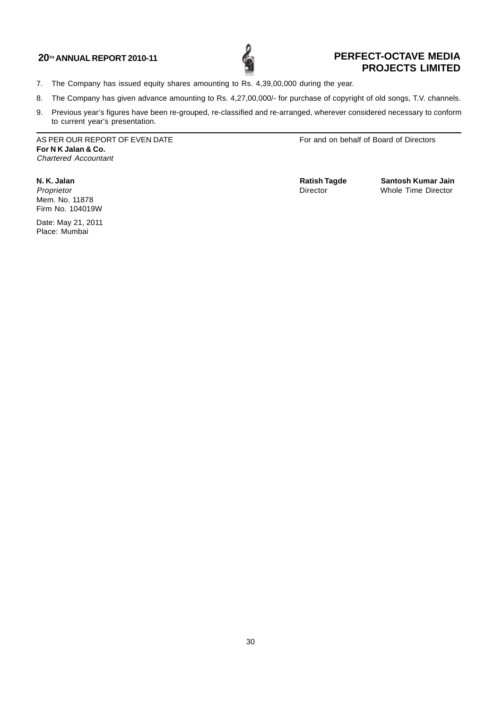![](_page_29_Picture_1.jpeg)

- 7. The Company has issued equity shares amounting to Rs. 4,39,00,000 during the year.
- 8. The Company has given advance amounting to Rs. 4,27,00,000/- for purchase of copyright of old songs, T.V. channels.
- 9. Previous year's figures have been re-grouped, re-classified and re-arranged, wherever considered necessary to conform to current year's presentation.

AS PER OUR REPORT OF EVEN DATE FOR A SERIES FOR A SERIES For and on behalf of Board of Directors **For N K Jalan & Co.** Chartered Accountant

Mem. No. 11878 Firm No. 104019W

Date: May 21, 2011 Place: Mumbai

**N. K. Jalan 1988 N. K. Jalan 1999 Ratish Tagde** Santosh Kumar Jain<br> *Proprietor* Whole Time Director Numer Director Proprietor **Contract Contract Contract Contract Contract Contract Contract Contract Contract Contract Contract Contract Contract Contract Contract Contract Contract Contract Contract Contract Contract Contract Contract Con**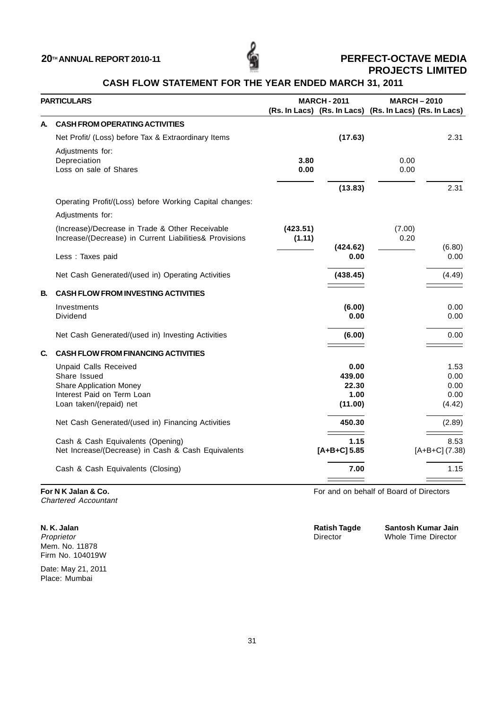![](_page_30_Picture_1.jpeg)

## **CASH FLOW STATEMENT FOR THE YEAR ENDED MARCH 31, 2011**

|    | <b>PARTICULARS</b>                                      |          | <b>MARCH-2011</b>                                       |        | <b>MARCH-2010</b> |  |
|----|---------------------------------------------------------|----------|---------------------------------------------------------|--------|-------------------|--|
|    |                                                         |          | (Rs. In Lacs) (Rs. In Lacs) (Rs. In Lacs) (Rs. In Lacs) |        |                   |  |
| А. | <b>CASH FROM OPERATING ACTIVITIES</b>                   |          |                                                         |        |                   |  |
|    | Net Profit/ (Loss) before Tax & Extraordinary Items     |          | (17.63)                                                 |        | 2.31              |  |
|    | Adjustments for:                                        |          |                                                         |        |                   |  |
|    | Depreciation                                            | 3.80     |                                                         | 0.00   |                   |  |
|    | Loss on sale of Shares                                  | 0.00     |                                                         | 0.00   |                   |  |
|    |                                                         |          | (13.83)                                                 |        | 2.31              |  |
|    | Operating Profit/(Loss) before Working Capital changes: |          |                                                         |        |                   |  |
|    | Adjustments for:                                        |          |                                                         |        |                   |  |
|    | (Increase)/Decrease in Trade & Other Receivable         | (423.51) |                                                         | (7.00) |                   |  |
|    | Increase/(Decrease) in Current Liabilities& Provisions  | (1.11)   |                                                         | 0.20   |                   |  |
|    |                                                         |          | (424.62)                                                |        | (6.80)<br>0.00    |  |
|    | Less : Taxes paid                                       |          | 0.00                                                    |        |                   |  |
|    | Net Cash Generated/(used in) Operating Activities       |          | (438.45)                                                |        | (4.49)            |  |
| В. | <b>CASH FLOW FROM INVESTING ACTIVITIES</b>              |          |                                                         |        |                   |  |
|    | Investments                                             |          | (6.00)                                                  |        | 0.00              |  |
|    | Dividend                                                |          | 0.00                                                    |        | 0.00              |  |
|    | Net Cash Generated/(used in) Investing Activities       |          | (6.00)                                                  |        | 0.00              |  |
| C. | <b>CASH FLOW FROM FINANCING ACTIVITIES</b>              |          |                                                         |        |                   |  |
|    | <b>Unpaid Calls Received</b>                            |          | 0.00                                                    |        | 1.53              |  |
|    | Share Issued                                            |          | 439.00                                                  |        | 0.00              |  |
|    | <b>Share Application Money</b>                          |          | 22.30                                                   |        | 0.00              |  |
|    | Interest Paid on Term Loan                              |          | 1.00                                                    |        | 0.00              |  |
|    | Loan taken/(repaid) net                                 |          | (11.00)                                                 |        | (4.42)            |  |
|    | Net Cash Generated/(used in) Financing Activities       |          | 450.30                                                  |        | (2.89)            |  |
|    | Cash & Cash Equivalents (Opening)                       |          | 1.15                                                    |        | 8.53              |  |
|    | Net Increase/(Decrease) in Cash & Cash Equivalents      |          | $[A+B+C]$ 5.85                                          |        | $[A+B+C]$ (7.38)  |  |
|    | Cash & Cash Equivalents (Closing)                       |          | 7.00                                                    |        | 1.15              |  |
|    |                                                         |          |                                                         |        |                   |  |

Chartered Accountant

Mem. No. 11878 Firm No. 104019W

Date: May 21, 2011 Place: Mumbai

**For N K Jalan & Co. For N K Jalan & Co. For A K Jalan & Co. For and on behalf of Board of Directors** 

| N. K. Jalan | <b>Ratish Tagde</b> | Santosh Kumar Jain  |
|-------------|---------------------|---------------------|
| Proprietor  | Director            | Whole Time Director |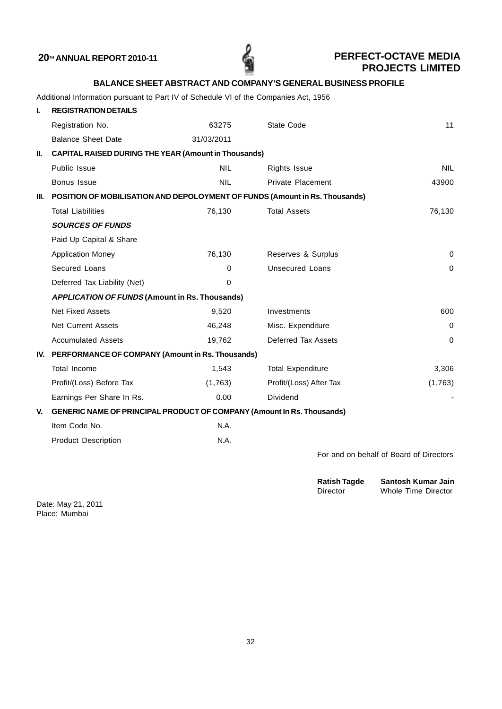| <b>BALANCE SHEET ABSTRACT AND COMPANY'S GENERAL BUSINESS PROFILE</b> |  |
|----------------------------------------------------------------------|--|
|----------------------------------------------------------------------|--|

Additional Information pursuant to Part IV of Schedule VI of the Companies Act, 1956

| L    | <b>REGISTRATION DETAILS</b>                                                 |             |                          |                                         |
|------|-----------------------------------------------------------------------------|-------------|--------------------------|-----------------------------------------|
|      | Registration No.                                                            | 63275       | State Code               | 11                                      |
|      | <b>Balance Sheet Date</b>                                                   | 31/03/2011  |                          |                                         |
| Ш.   | <b>CAPITAL RAISED DURING THE YEAR (Amount in Thousands)</b>                 |             |                          |                                         |
|      | Public Issue                                                                | <b>NIL</b>  | <b>Rights Issue</b>      | <b>NIL</b>                              |
|      | Bonus Issue                                                                 | <b>NIL</b>  | Private Placement        | 43900                                   |
| III. | POSITION OF MOBILISATION AND DEPOLOYMENT OF FUNDS (Amount in Rs. Thousands) |             |                          |                                         |
|      | <b>Total Liabilities</b>                                                    | 76,130      | <b>Total Assets</b>      | 76,130                                  |
|      | <b>SOURCES OF FUNDS</b>                                                     |             |                          |                                         |
|      | Paid Up Capital & Share                                                     |             |                          |                                         |
|      | <b>Application Money</b>                                                    | 76,130      | Reserves & Surplus       | $\mathbf 0$                             |
|      | Secured Loans                                                               | $\Omega$    | <b>Unsecured Loans</b>   | $\Omega$                                |
|      | Deferred Tax Liability (Net)                                                | $\mathbf 0$ |                          |                                         |
|      | <b>APPLICATION OF FUNDS (Amount in Rs. Thousands)</b>                       |             |                          |                                         |
|      | <b>Net Fixed Assets</b>                                                     | 9,520       | Investments              | 600                                     |
|      | <b>Net Current Assets</b>                                                   | 46,248      | Misc. Expenditure        | $\Omega$                                |
|      | <b>Accumulated Assets</b>                                                   | 19,762      | Deferred Tax Assets      | $\Omega$                                |
|      | IV. PERFORMANCE OF COMPANY (Amount in Rs. Thousands)                        |             |                          |                                         |
|      | Total Income                                                                | 1,543       | <b>Total Expenditure</b> | 3,306                                   |
|      | Profit/(Loss) Before Tax                                                    | (1,763)     | Profit/(Loss) After Tax  | (1,763)                                 |
|      | Earnings Per Share In Rs.                                                   | 0.00        | Dividend                 |                                         |
| V.   | GENERIC NAME OF PRINCIPAL PRODUCT OF COMPANY (Amount In Rs. Thousands)      |             |                          |                                         |
|      | Item Code No.                                                               | N.A.        |                          |                                         |
|      | <b>Product Description</b>                                                  | N.A.        |                          |                                         |
|      |                                                                             |             |                          | For and on behalf of Board of Directors |
|      |                                                                             |             |                          |                                         |

| <b>Ratish Tagde</b> | Santosh Kumar Jain  |
|---------------------|---------------------|
| Director            | Whole Time Director |

Date: May 21, 2011 Place: Mumbai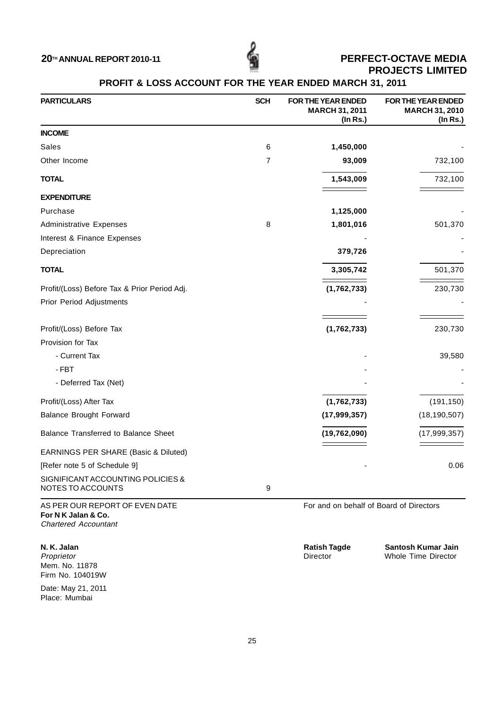![](_page_32_Picture_1.jpeg)

## **PROFIT & LOSS ACCOUNT FOR THE YEAR ENDED MARCH 31, 2011**

| <b>PARTICULARS</b>                                     | <b>SCH</b>     | FOR THE YEAR ENDED<br><b>MARCH 31, 2011</b><br>$($ In Rs. $)$ | FOR THE YEAR ENDED<br><b>MARCH 31, 2010</b><br>(In Rs.) |
|--------------------------------------------------------|----------------|---------------------------------------------------------------|---------------------------------------------------------|
| <b>INCOME</b>                                          |                |                                                               |                                                         |
| Sales                                                  | 6              | 1,450,000                                                     |                                                         |
| Other Income                                           | $\overline{7}$ | 93,009                                                        | 732,100                                                 |
| <b>TOTAL</b>                                           |                | 1,543,009                                                     | 732,100                                                 |
| <b>EXPENDITURE</b>                                     |                |                                                               |                                                         |
| Purchase                                               |                | 1,125,000                                                     |                                                         |
| <b>Administrative Expenses</b>                         | 8              | 1,801,016                                                     | 501,370                                                 |
| Interest & Finance Expenses                            |                |                                                               |                                                         |
| Depreciation                                           |                | 379,726                                                       |                                                         |
| <b>TOTAL</b>                                           |                | 3,305,742                                                     | 501,370                                                 |
| Profit/(Loss) Before Tax & Prior Period Adj.           |                | (1,762,733)                                                   | 230,730                                                 |
| Prior Period Adjustments                               |                |                                                               |                                                         |
|                                                        |                |                                                               |                                                         |
| Profit/(Loss) Before Tax                               |                | (1,762,733)                                                   | 230,730                                                 |
| Provision for Tax                                      |                |                                                               |                                                         |
| - Current Tax                                          |                |                                                               | 39,580                                                  |
| $-FBT$                                                 |                |                                                               |                                                         |
| - Deferred Tax (Net)                                   |                |                                                               |                                                         |
| Profit/(Loss) After Tax                                |                | (1,762,733)                                                   | (191, 150)                                              |
| <b>Balance Brought Forward</b>                         |                | (17, 999, 357)                                                | (18, 190, 507)                                          |
| Balance Transferred to Balance Sheet                   |                | (19, 762, 090)                                                | (17, 999, 357)                                          |
| EARNINGS PER SHARE (Basic & Diluted)                   |                |                                                               |                                                         |
| [Refer note 5 of Schedule 9]                           |                |                                                               | 0.06                                                    |
| SIGNIFICANT ACCOUNTING POLICIES &<br>NOTES TO ACCOUNTS | 9              |                                                               |                                                         |

AS PER OUR REPORT OF EVEN DATE FOR A SERIES For and on behalf of Board of Directors **For N K Jalan & Co.** Chartered Accountant

Mem. No. 11878 Firm No. 104019W

Date: May 21, 2011 Place: Mumbai

**N. K. Jalan 1988 Constrained Automobile Santosh Kumar Jain**<br> **Ratish Tagde Santosh Kumar Jain**<br>
Director Construction Whole Time Director Whole Time Director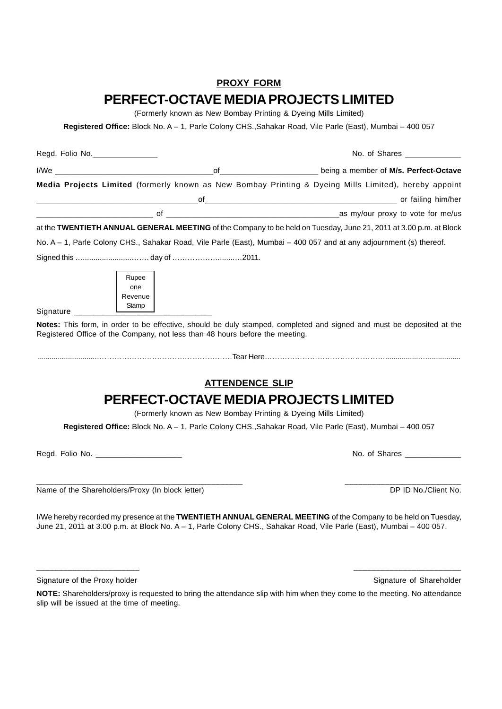## **PROXY FORM PERFECT-OCTAVE MEDIA PROJECTS LIMITED**

(Formerly known as New Bombay Printing & Dyeing Mills Limited)

**Registered Office:** Block No. A – 1, Parle Colony CHS.,Sahakar Road, Vile Parle (East), Mumbai – 400 057

| Regd. Folio No. |                                                                              | No. of Shares _____________                                                                                                                                                                                                            |
|-----------------|------------------------------------------------------------------------------|----------------------------------------------------------------------------------------------------------------------------------------------------------------------------------------------------------------------------------------|
|                 |                                                                              |                                                                                                                                                                                                                                        |
|                 |                                                                              | Media Projects Limited (formerly known as New Bombay Printing & Dyeing Mills Limited), hereby appoint                                                                                                                                  |
|                 |                                                                              | of and the control of the control of the control of the control of the control of the control of the control of the control of the control of the control of the control of the control of the control of the control of the c         |
|                 |                                                                              |                                                                                                                                                                                                                                        |
|                 |                                                                              | at the TWENTIETH ANNUAL GENERAL MEETING of the Company to be held on Tuesday, June 21, 2011 at 3.00 p.m. at Block                                                                                                                      |
|                 |                                                                              | No. A - 1, Parle Colony CHS., Sahakar Road, Vile Parle (East), Mumbai - 400 057 and at any adjournment (s) thereof.                                                                                                                    |
|                 |                                                                              |                                                                                                                                                                                                                                        |
| Signature       | Rupee<br>one<br>Revenue<br>Stamp                                             |                                                                                                                                                                                                                                        |
|                 | Registered Office of the Company, not less than 48 hours before the meeting. | Notes: This form, in order to be effective, should be duly stamped, completed and signed and must be deposited at the                                                                                                                  |
|                 |                                                                              | <b>ATTENDENCE SLIP</b>                                                                                                                                                                                                                 |
|                 |                                                                              | PERFECT-OCTAVE MEDIA PROJECTS LIMITED<br>(Formerly known as New Bombay Printing & Dyeing Mills Limited)                                                                                                                                |
|                 |                                                                              | Registered Office: Block No. A - 1, Parle Colony CHS., Sahakar Road, Vile Parle (East), Mumbai - 400 057                                                                                                                               |
|                 | Regd. Folio No. _________________________                                    | No. of Shares ____________                                                                                                                                                                                                             |
|                 | Name of the Shareholders/Proxy (In block letter)                             | DP ID No./Client No.                                                                                                                                                                                                                   |
|                 |                                                                              | I/We hereby recorded my presence at the TWENTIETH ANNUAL GENERAL MEETING of the Company to be held on Tuesday,<br>June 21, 2011 at 3.00 p.m. at Block No. A - 1, Parle Colony CHS., Sahakar Road, Vile Parle (East), Mumbai - 400 057. |

Signature of the Proxy holder Shareholder Shareholder Signature of Shareholder Shareholder Signature of Shareholder

**NOTE:** Shareholders/proxy is requested to bring the attendance slip with him when they come to the meeting. No attendance slip will be issued at the time of meeting.

\_\_\_\_\_\_\_\_\_\_\_\_\_\_\_\_\_\_\_\_\_\_\_ \_\_\_\_\_\_\_\_\_\_\_\_\_\_\_\_\_\_\_\_\_\_\_\_